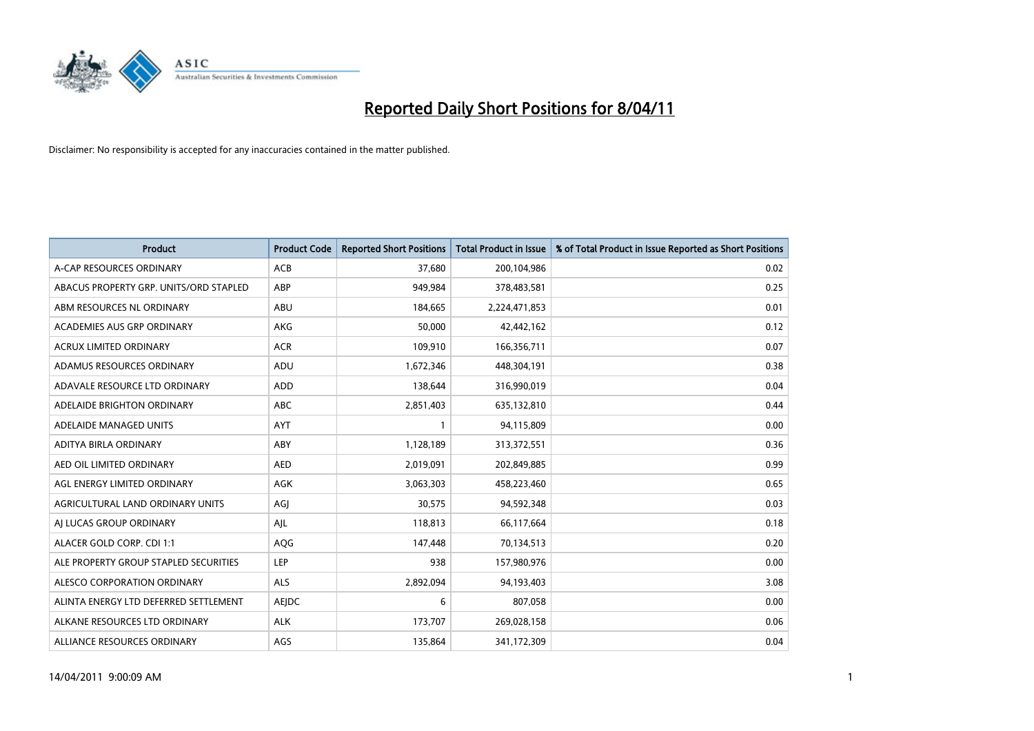

| <b>Product</b>                         | <b>Product Code</b> | <b>Reported Short Positions</b> | Total Product in Issue | % of Total Product in Issue Reported as Short Positions |
|----------------------------------------|---------------------|---------------------------------|------------------------|---------------------------------------------------------|
| A-CAP RESOURCES ORDINARY               | ACB                 | 37,680                          | 200,104,986            | 0.02                                                    |
| ABACUS PROPERTY GRP. UNITS/ORD STAPLED | ABP                 | 949,984                         | 378,483,581            | 0.25                                                    |
| ABM RESOURCES NL ORDINARY              | <b>ABU</b>          | 184,665                         | 2,224,471,853          | 0.01                                                    |
| ACADEMIES AUS GRP ORDINARY             | AKG                 | 50,000                          | 42,442,162             | 0.12                                                    |
| <b>ACRUX LIMITED ORDINARY</b>          | <b>ACR</b>          | 109,910                         | 166,356,711            | 0.07                                                    |
| ADAMUS RESOURCES ORDINARY              | ADU                 | 1,672,346                       | 448,304,191            | 0.38                                                    |
| ADAVALE RESOURCE LTD ORDINARY          | <b>ADD</b>          | 138,644                         | 316,990,019            | 0.04                                                    |
| ADELAIDE BRIGHTON ORDINARY             | <b>ABC</b>          | 2,851,403                       | 635,132,810            | 0.44                                                    |
| ADELAIDE MANAGED UNITS                 | <b>AYT</b>          |                                 | 94,115,809             | 0.00                                                    |
| ADITYA BIRLA ORDINARY                  | ABY                 | 1,128,189                       | 313,372,551            | 0.36                                                    |
| AED OIL LIMITED ORDINARY               | <b>AED</b>          | 2,019,091                       | 202,849,885            | 0.99                                                    |
| AGL ENERGY LIMITED ORDINARY            | AGK                 | 3,063,303                       | 458,223,460            | 0.65                                                    |
| AGRICULTURAL LAND ORDINARY UNITS       | AGJ                 | 30,575                          | 94,592,348             | 0.03                                                    |
| AI LUCAS GROUP ORDINARY                | AJL                 | 118,813                         | 66,117,664             | 0.18                                                    |
| ALACER GOLD CORP. CDI 1:1              | <b>AQG</b>          | 147,448                         | 70,134,513             | 0.20                                                    |
| ALE PROPERTY GROUP STAPLED SECURITIES  | LEP                 | 938                             | 157,980,976            | 0.00                                                    |
| ALESCO CORPORATION ORDINARY            | <b>ALS</b>          | 2,892,094                       | 94,193,403             | 3.08                                                    |
| ALINTA ENERGY LTD DEFERRED SETTLEMENT  | <b>AEIDC</b>        | 6                               | 807,058                | 0.00                                                    |
| ALKANE RESOURCES LTD ORDINARY          | <b>ALK</b>          | 173,707                         | 269,028,158            | 0.06                                                    |
| ALLIANCE RESOURCES ORDINARY            | AGS                 | 135,864                         | 341,172,309            | 0.04                                                    |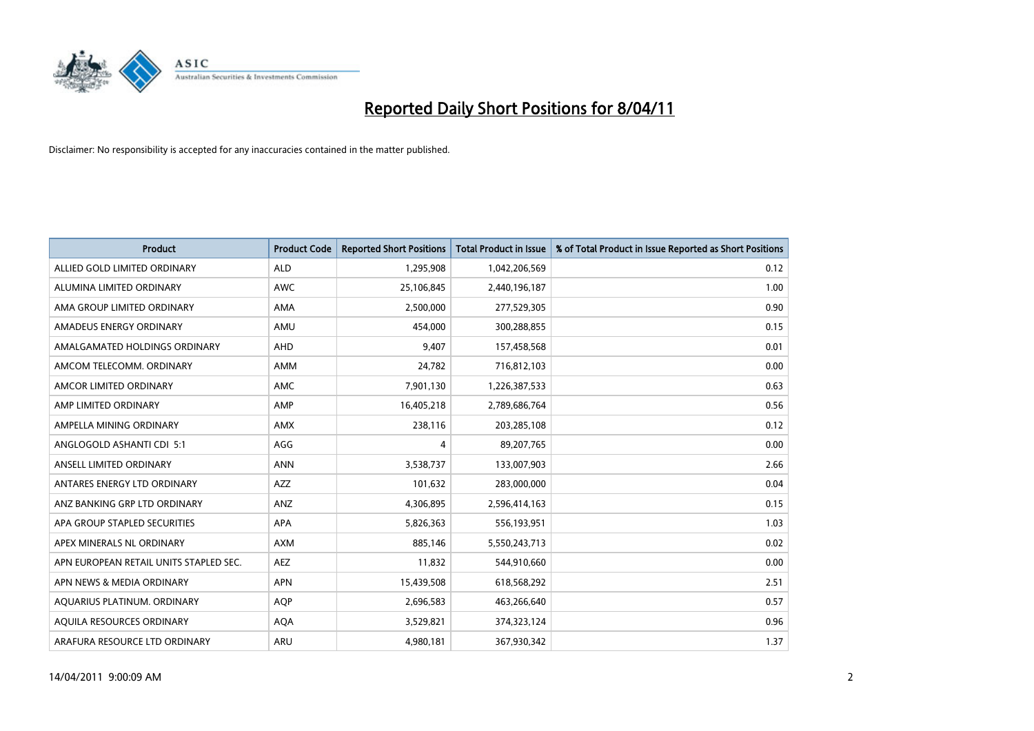

| <b>Product</b>                         | <b>Product Code</b> | <b>Reported Short Positions</b> | Total Product in Issue | % of Total Product in Issue Reported as Short Positions |
|----------------------------------------|---------------------|---------------------------------|------------------------|---------------------------------------------------------|
| ALLIED GOLD LIMITED ORDINARY           | <b>ALD</b>          | 1,295,908                       | 1,042,206,569          | 0.12                                                    |
| ALUMINA LIMITED ORDINARY               | <b>AWC</b>          | 25,106,845                      | 2,440,196,187          | 1.00                                                    |
| AMA GROUP LIMITED ORDINARY             | <b>AMA</b>          | 2,500,000                       | 277,529,305            | 0.90                                                    |
| AMADEUS ENERGY ORDINARY                | AMU                 | 454,000                         | 300,288,855            | 0.15                                                    |
| AMALGAMATED HOLDINGS ORDINARY          | <b>AHD</b>          | 9,407                           | 157,458,568            | 0.01                                                    |
| AMCOM TELECOMM, ORDINARY               | <b>AMM</b>          | 24,782                          | 716,812,103            | 0.00                                                    |
| AMCOR LIMITED ORDINARY                 | <b>AMC</b>          | 7,901,130                       | 1,226,387,533          | 0.63                                                    |
| AMP LIMITED ORDINARY                   | AMP                 | 16,405,218                      | 2,789,686,764          | 0.56                                                    |
| AMPELLA MINING ORDINARY                | <b>AMX</b>          | 238,116                         | 203,285,108            | 0.12                                                    |
| ANGLOGOLD ASHANTI CDI 5:1              | AGG                 | 4                               | 89,207,765             | 0.00                                                    |
| ANSELL LIMITED ORDINARY                | <b>ANN</b>          | 3,538,737                       | 133,007,903            | 2.66                                                    |
| ANTARES ENERGY LTD ORDINARY            | <b>AZZ</b>          | 101,632                         | 283,000,000            | 0.04                                                    |
| ANZ BANKING GRP LTD ORDINARY           | <b>ANZ</b>          | 4,306,895                       | 2,596,414,163          | 0.15                                                    |
| APA GROUP STAPLED SECURITIES           | <b>APA</b>          | 5,826,363                       | 556,193,951            | 1.03                                                    |
| APEX MINERALS NL ORDINARY              | <b>AXM</b>          | 885,146                         | 5,550,243,713          | 0.02                                                    |
| APN EUROPEAN RETAIL UNITS STAPLED SEC. | <b>AEZ</b>          | 11,832                          | 544,910,660            | 0.00                                                    |
| APN NEWS & MEDIA ORDINARY              | <b>APN</b>          | 15,439,508                      | 618,568,292            | 2.51                                                    |
| AQUARIUS PLATINUM. ORDINARY            | <b>AOP</b>          | 2,696,583                       | 463,266,640            | 0.57                                                    |
| AOUILA RESOURCES ORDINARY              | <b>AQA</b>          | 3,529,821                       | 374,323,124            | 0.96                                                    |
| ARAFURA RESOURCE LTD ORDINARY          | <b>ARU</b>          | 4,980,181                       | 367,930,342            | 1.37                                                    |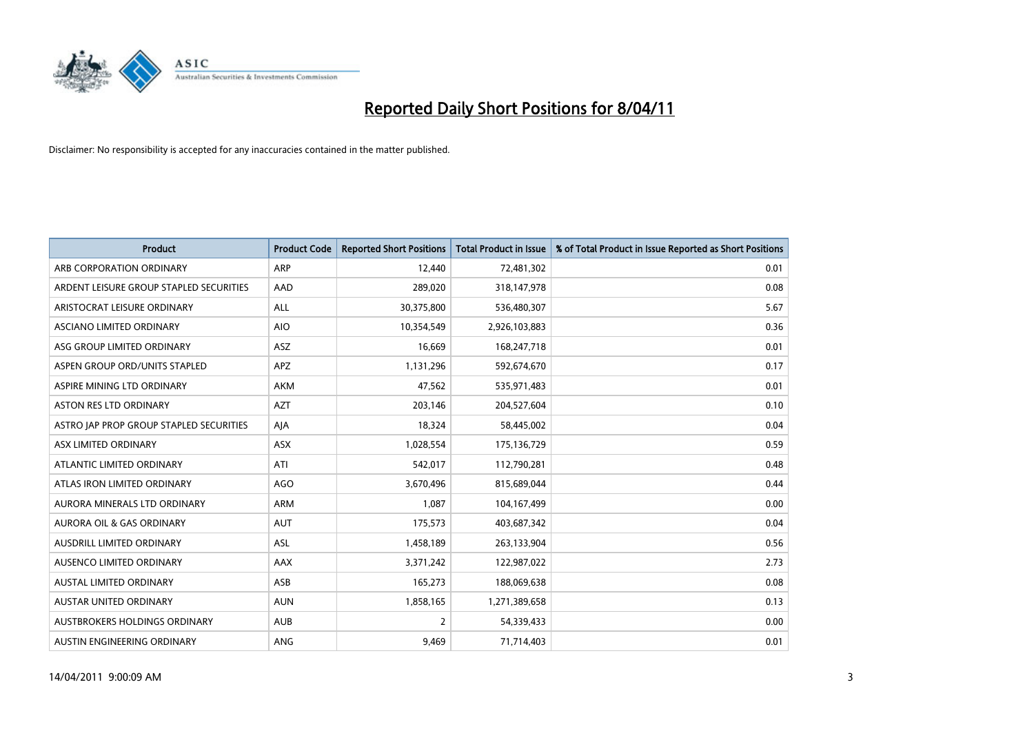

| <b>Product</b>                          | <b>Product Code</b> | <b>Reported Short Positions</b> | Total Product in Issue | % of Total Product in Issue Reported as Short Positions |
|-----------------------------------------|---------------------|---------------------------------|------------------------|---------------------------------------------------------|
| ARB CORPORATION ORDINARY                | <b>ARP</b>          | 12,440                          | 72,481,302             | 0.01                                                    |
| ARDENT LEISURE GROUP STAPLED SECURITIES | AAD                 | 289,020                         | 318,147,978            | 0.08                                                    |
| ARISTOCRAT LEISURE ORDINARY             | ALL                 | 30,375,800                      | 536,480,307            | 5.67                                                    |
| ASCIANO LIMITED ORDINARY                | <b>AIO</b>          | 10,354,549                      | 2,926,103,883          | 0.36                                                    |
| ASG GROUP LIMITED ORDINARY              | <b>ASZ</b>          | 16.669                          | 168,247,718            | 0.01                                                    |
| ASPEN GROUP ORD/UNITS STAPLED           | <b>APZ</b>          | 1,131,296                       | 592,674,670            | 0.17                                                    |
| ASPIRE MINING LTD ORDINARY              | <b>AKM</b>          | 47.562                          | 535,971,483            | 0.01                                                    |
| <b>ASTON RES LTD ORDINARY</b>           | <b>AZT</b>          | 203,146                         | 204,527,604            | 0.10                                                    |
| ASTRO JAP PROP GROUP STAPLED SECURITIES | AJA                 | 18,324                          | 58,445,002             | 0.04                                                    |
| ASX LIMITED ORDINARY                    | <b>ASX</b>          | 1,028,554                       | 175,136,729            | 0.59                                                    |
| ATLANTIC LIMITED ORDINARY               | ATI                 | 542,017                         | 112,790,281            | 0.48                                                    |
| ATLAS IRON LIMITED ORDINARY             | <b>AGO</b>          | 3,670,496                       | 815,689,044            | 0.44                                                    |
| AURORA MINERALS LTD ORDINARY            | <b>ARM</b>          | 1.087                           | 104,167,499            | 0.00                                                    |
| <b>AURORA OIL &amp; GAS ORDINARY</b>    | <b>AUT</b>          | 175,573                         | 403,687,342            | 0.04                                                    |
| <b>AUSDRILL LIMITED ORDINARY</b>        | <b>ASL</b>          | 1,458,189                       | 263,133,904            | 0.56                                                    |
| AUSENCO LIMITED ORDINARY                | <b>AAX</b>          | 3,371,242                       | 122,987,022            | 2.73                                                    |
| <b>AUSTAL LIMITED ORDINARY</b>          | ASB                 | 165,273                         | 188,069,638            | 0.08                                                    |
| AUSTAR UNITED ORDINARY                  | <b>AUN</b>          | 1,858,165                       | 1,271,389,658          | 0.13                                                    |
| <b>AUSTBROKERS HOLDINGS ORDINARY</b>    | <b>AUB</b>          | 2                               | 54,339,433             | 0.00                                                    |
| AUSTIN ENGINEERING ORDINARY             | ANG                 | 9,469                           | 71,714,403             | 0.01                                                    |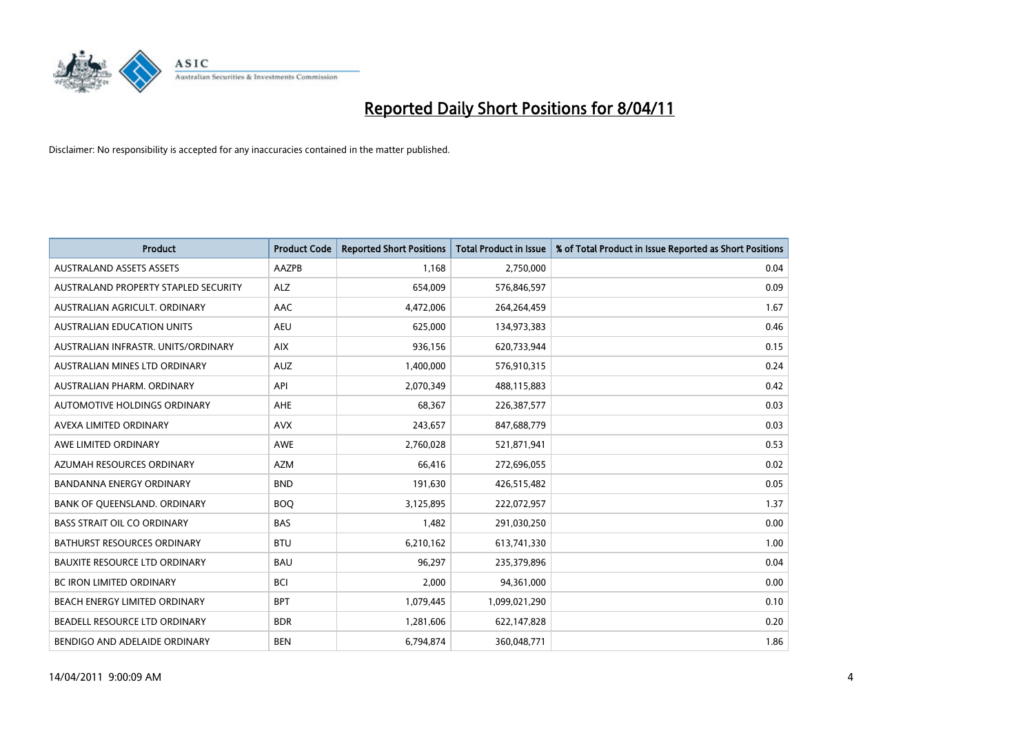

| <b>Product</b>                       | <b>Product Code</b> | <b>Reported Short Positions</b> | Total Product in Issue | % of Total Product in Issue Reported as Short Positions |
|--------------------------------------|---------------------|---------------------------------|------------------------|---------------------------------------------------------|
| <b>AUSTRALAND ASSETS ASSETS</b>      | <b>AAZPB</b>        | 1,168                           | 2,750,000              | 0.04                                                    |
| AUSTRALAND PROPERTY STAPLED SECURITY | <b>ALZ</b>          | 654,009                         | 576,846,597            | 0.09                                                    |
| AUSTRALIAN AGRICULT, ORDINARY        | AAC                 | 4,472,006                       | 264,264,459            | 1.67                                                    |
| <b>AUSTRALIAN EDUCATION UNITS</b>    | <b>AEU</b>          | 625,000                         | 134,973,383            | 0.46                                                    |
| AUSTRALIAN INFRASTR, UNITS/ORDINARY  | <b>AIX</b>          | 936,156                         | 620,733,944            | 0.15                                                    |
| AUSTRALIAN MINES LTD ORDINARY        | <b>AUZ</b>          | 1,400,000                       | 576,910,315            | 0.24                                                    |
| AUSTRALIAN PHARM, ORDINARY           | API                 | 2,070,349                       | 488,115,883            | 0.42                                                    |
| AUTOMOTIVE HOLDINGS ORDINARY         | <b>AHE</b>          | 68,367                          | 226,387,577            | 0.03                                                    |
| AVEXA LIMITED ORDINARY               | <b>AVX</b>          | 243,657                         | 847,688,779            | 0.03                                                    |
| AWE LIMITED ORDINARY                 | AWE                 | 2,760,028                       | 521,871,941            | 0.53                                                    |
| AZUMAH RESOURCES ORDINARY            | <b>AZM</b>          | 66,416                          | 272,696,055            | 0.02                                                    |
| BANDANNA ENERGY ORDINARY             | <b>BND</b>          | 191,630                         | 426,515,482            | 0.05                                                    |
| BANK OF QUEENSLAND. ORDINARY         | <b>BOQ</b>          | 3,125,895                       | 222,072,957            | 1.37                                                    |
| <b>BASS STRAIT OIL CO ORDINARY</b>   | <b>BAS</b>          | 1,482                           | 291,030,250            | 0.00                                                    |
| <b>BATHURST RESOURCES ORDINARY</b>   | <b>BTU</b>          | 6,210,162                       | 613,741,330            | 1.00                                                    |
| <b>BAUXITE RESOURCE LTD ORDINARY</b> | <b>BAU</b>          | 96.297                          | 235,379,896            | 0.04                                                    |
| <b>BC IRON LIMITED ORDINARY</b>      | <b>BCI</b>          | 2,000                           | 94,361,000             | 0.00                                                    |
| BEACH ENERGY LIMITED ORDINARY        | <b>BPT</b>          | 1,079,445                       | 1,099,021,290          | 0.10                                                    |
| BEADELL RESOURCE LTD ORDINARY        | <b>BDR</b>          | 1,281,606                       | 622,147,828            | 0.20                                                    |
| BENDIGO AND ADELAIDE ORDINARY        | <b>BEN</b>          | 6,794,874                       | 360,048,771            | 1.86                                                    |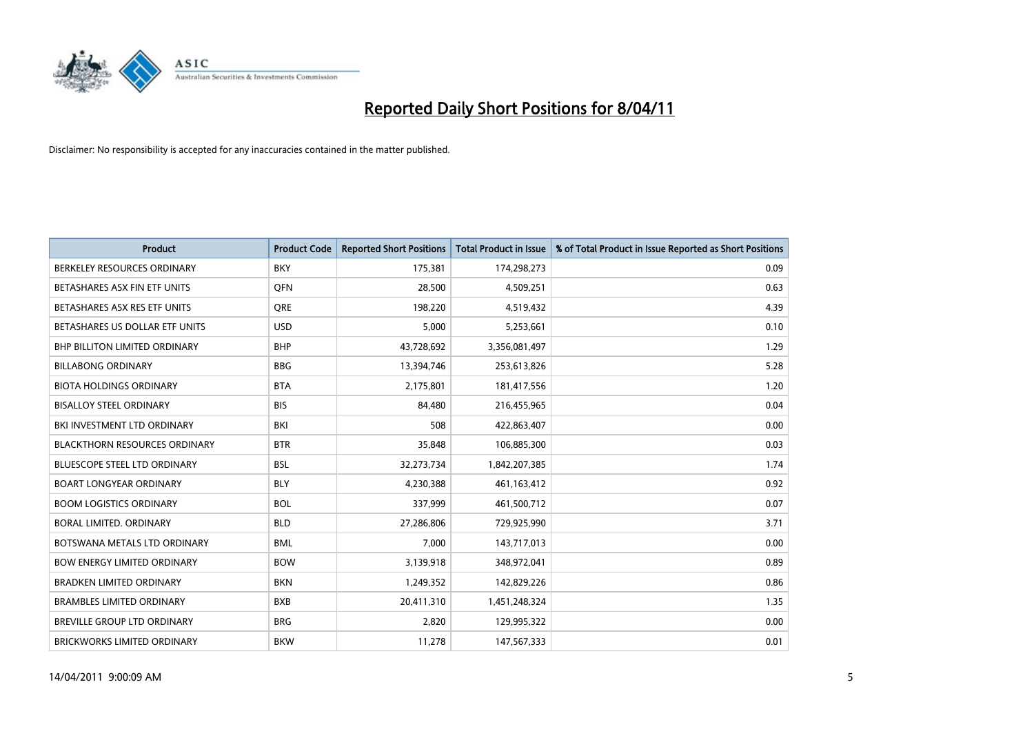

| Product                              | <b>Product Code</b> | <b>Reported Short Positions</b> | <b>Total Product in Issue</b> | % of Total Product in Issue Reported as Short Positions |
|--------------------------------------|---------------------|---------------------------------|-------------------------------|---------------------------------------------------------|
| BERKELEY RESOURCES ORDINARY          | <b>BKY</b>          | 175,381                         | 174,298,273                   | 0.09                                                    |
| BETASHARES ASX FIN ETF UNITS         | <b>OFN</b>          | 28,500                          | 4,509,251                     | 0.63                                                    |
| BETASHARES ASX RES ETF UNITS         | <b>ORE</b>          | 198,220                         | 4,519,432                     | 4.39                                                    |
| BETASHARES US DOLLAR ETF UNITS       | <b>USD</b>          | 5,000                           | 5,253,661                     | 0.10                                                    |
| <b>BHP BILLITON LIMITED ORDINARY</b> | <b>BHP</b>          | 43,728,692                      | 3,356,081,497                 | 1.29                                                    |
| <b>BILLABONG ORDINARY</b>            | <b>BBG</b>          | 13,394,746                      | 253,613,826                   | 5.28                                                    |
| <b>BIOTA HOLDINGS ORDINARY</b>       | <b>BTA</b>          | 2,175,801                       | 181,417,556                   | 1.20                                                    |
| <b>BISALLOY STEEL ORDINARY</b>       | <b>BIS</b>          | 84,480                          | 216,455,965                   | 0.04                                                    |
| BKI INVESTMENT LTD ORDINARY          | <b>BKI</b>          | 508                             | 422,863,407                   | 0.00                                                    |
| <b>BLACKTHORN RESOURCES ORDINARY</b> | <b>BTR</b>          | 35,848                          | 106,885,300                   | 0.03                                                    |
| <b>BLUESCOPE STEEL LTD ORDINARY</b>  | <b>BSL</b>          | 32,273,734                      | 1,842,207,385                 | 1.74                                                    |
| <b>BOART LONGYEAR ORDINARY</b>       | <b>BLY</b>          | 4,230,388                       | 461,163,412                   | 0.92                                                    |
| <b>BOOM LOGISTICS ORDINARY</b>       | <b>BOL</b>          | 337,999                         | 461,500,712                   | 0.07                                                    |
| BORAL LIMITED, ORDINARY              | <b>BLD</b>          | 27,286,806                      | 729,925,990                   | 3.71                                                    |
| BOTSWANA METALS LTD ORDINARY         | <b>BML</b>          | 7,000                           | 143,717,013                   | 0.00                                                    |
| <b>BOW ENERGY LIMITED ORDINARY</b>   | <b>BOW</b>          | 3,139,918                       | 348,972,041                   | 0.89                                                    |
| <b>BRADKEN LIMITED ORDINARY</b>      | <b>BKN</b>          | 1,249,352                       | 142,829,226                   | 0.86                                                    |
| <b>BRAMBLES LIMITED ORDINARY</b>     | <b>BXB</b>          | 20,411,310                      | 1,451,248,324                 | 1.35                                                    |
| <b>BREVILLE GROUP LTD ORDINARY</b>   | <b>BRG</b>          | 2,820                           | 129,995,322                   | 0.00                                                    |
| <b>BRICKWORKS LIMITED ORDINARY</b>   | <b>BKW</b>          | 11,278                          | 147,567,333                   | 0.01                                                    |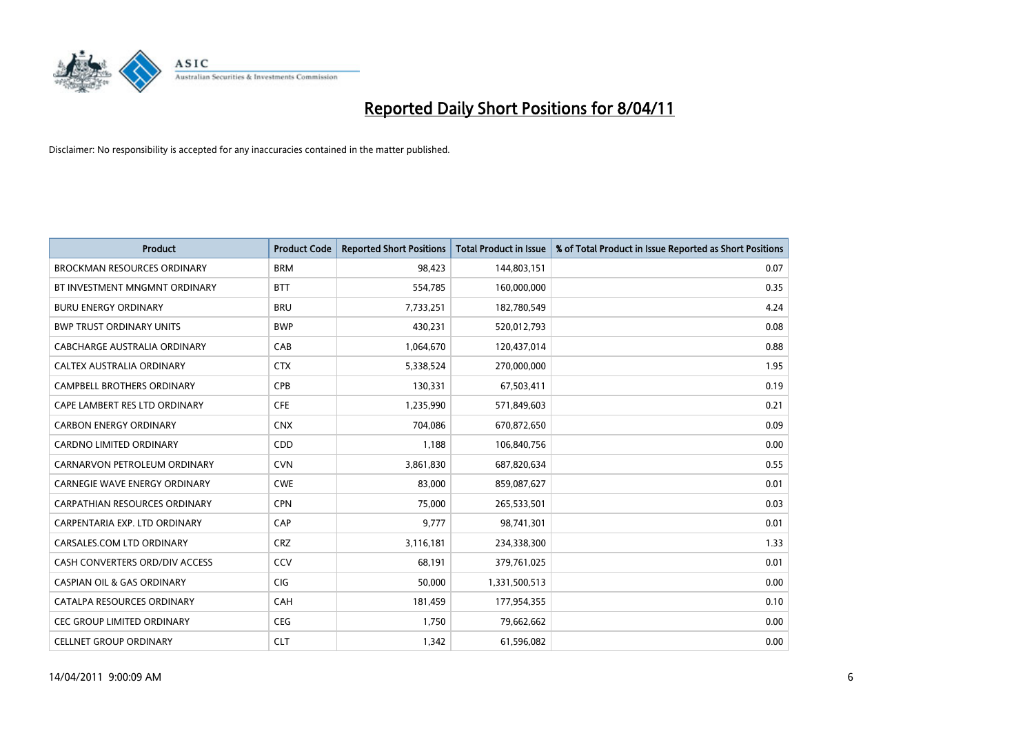

| <b>Product</b>                        | <b>Product Code</b> | <b>Reported Short Positions</b> | Total Product in Issue | % of Total Product in Issue Reported as Short Positions |
|---------------------------------------|---------------------|---------------------------------|------------------------|---------------------------------------------------------|
| <b>BROCKMAN RESOURCES ORDINARY</b>    | <b>BRM</b>          | 98,423                          | 144,803,151            | 0.07                                                    |
| BT INVESTMENT MNGMNT ORDINARY         | <b>BTT</b>          | 554,785                         | 160,000,000            | 0.35                                                    |
| <b>BURU ENERGY ORDINARY</b>           | <b>BRU</b>          | 7,733,251                       | 182,780,549            | 4.24                                                    |
| <b>BWP TRUST ORDINARY UNITS</b>       | <b>BWP</b>          | 430,231                         | 520,012,793            | 0.08                                                    |
| <b>CABCHARGE AUSTRALIA ORDINARY</b>   | CAB                 | 1,064,670                       | 120,437,014            | 0.88                                                    |
| CALTEX AUSTRALIA ORDINARY             | <b>CTX</b>          | 5,338,524                       | 270,000,000            | 1.95                                                    |
| <b>CAMPBELL BROTHERS ORDINARY</b>     | CPB                 | 130,331                         | 67,503,411             | 0.19                                                    |
| CAPE LAMBERT RES LTD ORDINARY         | <b>CFE</b>          | 1,235,990                       | 571,849,603            | 0.21                                                    |
| <b>CARBON ENERGY ORDINARY</b>         | <b>CNX</b>          | 704,086                         | 670,872,650            | 0.09                                                    |
| <b>CARDNO LIMITED ORDINARY</b>        | CDD                 | 1,188                           | 106,840,756            | 0.00                                                    |
| CARNARVON PETROLEUM ORDINARY          | <b>CVN</b>          | 3,861,830                       | 687,820,634            | 0.55                                                    |
| <b>CARNEGIE WAVE ENERGY ORDINARY</b>  | <b>CWE</b>          | 83,000                          | 859,087,627            | 0.01                                                    |
| <b>CARPATHIAN RESOURCES ORDINARY</b>  | <b>CPN</b>          | 75.000                          | 265,533,501            | 0.03                                                    |
| CARPENTARIA EXP. LTD ORDINARY         | CAP                 | 9,777                           | 98,741,301             | 0.01                                                    |
| CARSALES.COM LTD ORDINARY             | <b>CRZ</b>          | 3,116,181                       | 234,338,300            | 1.33                                                    |
| CASH CONVERTERS ORD/DIV ACCESS        | CCV                 | 68,191                          | 379,761,025            | 0.01                                                    |
| <b>CASPIAN OIL &amp; GAS ORDINARY</b> | <b>CIG</b>          | 50,000                          | 1,331,500,513          | 0.00                                                    |
| CATALPA RESOURCES ORDINARY            | CAH                 | 181,459                         | 177,954,355            | 0.10                                                    |
| <b>CEC GROUP LIMITED ORDINARY</b>     | <b>CEG</b>          | 1,750                           | 79,662,662             | 0.00                                                    |
| <b>CELLNET GROUP ORDINARY</b>         | <b>CLT</b>          | 1,342                           | 61,596,082             | 0.00                                                    |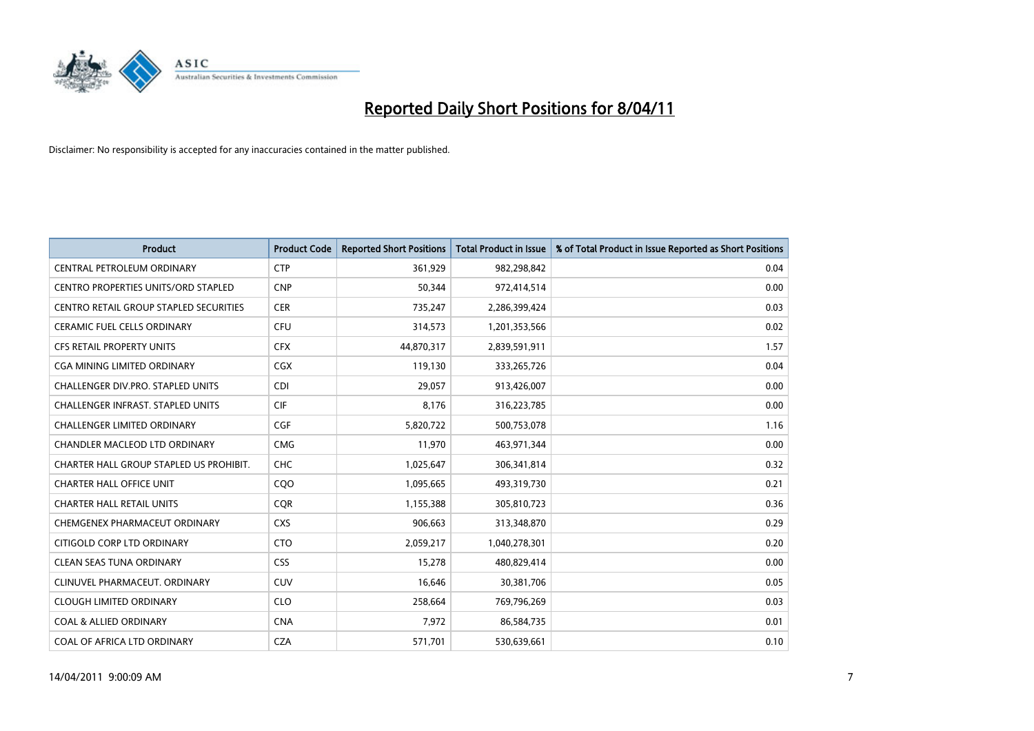

| <b>Product</b>                                | <b>Product Code</b> | <b>Reported Short Positions</b> | Total Product in Issue | % of Total Product in Issue Reported as Short Positions |
|-----------------------------------------------|---------------------|---------------------------------|------------------------|---------------------------------------------------------|
| CENTRAL PETROLEUM ORDINARY                    | <b>CTP</b>          | 361,929                         | 982,298,842            | 0.04                                                    |
| CENTRO PROPERTIES UNITS/ORD STAPLED           | <b>CNP</b>          | 50,344                          | 972,414,514            | 0.00                                                    |
| <b>CENTRO RETAIL GROUP STAPLED SECURITIES</b> | <b>CER</b>          | 735,247                         | 2,286,399,424          | 0.03                                                    |
| CERAMIC FUEL CELLS ORDINARY                   | <b>CFU</b>          | 314,573                         | 1,201,353,566          | 0.02                                                    |
| <b>CFS RETAIL PROPERTY UNITS</b>              | <b>CFX</b>          | 44,870,317                      | 2,839,591,911          | 1.57                                                    |
| <b>CGA MINING LIMITED ORDINARY</b>            | <b>CGX</b>          | 119,130                         | 333,265,726            | 0.04                                                    |
| <b>CHALLENGER DIV.PRO. STAPLED UNITS</b>      | <b>CDI</b>          | 29,057                          | 913,426,007            | 0.00                                                    |
| <b>CHALLENGER INFRAST, STAPLED UNITS</b>      | <b>CIF</b>          | 8,176                           | 316,223,785            | 0.00                                                    |
| CHALLENGER LIMITED ORDINARY                   | <b>CGF</b>          | 5,820,722                       | 500,753,078            | 1.16                                                    |
| <b>CHANDLER MACLEOD LTD ORDINARY</b>          | <b>CMG</b>          | 11,970                          | 463,971,344            | 0.00                                                    |
| CHARTER HALL GROUP STAPLED US PROHIBIT.       | <b>CHC</b>          | 1,025,647                       | 306,341,814            | 0.32                                                    |
| <b>CHARTER HALL OFFICE UNIT</b>               | COO                 | 1,095,665                       | 493,319,730            | 0.21                                                    |
| <b>CHARTER HALL RETAIL UNITS</b>              | <b>CQR</b>          | 1,155,388                       | 305,810,723            | 0.36                                                    |
| CHEMGENEX PHARMACEUT ORDINARY                 | <b>CXS</b>          | 906,663                         | 313,348,870            | 0.29                                                    |
| CITIGOLD CORP LTD ORDINARY                    | <b>CTO</b>          | 2,059,217                       | 1,040,278,301          | 0.20                                                    |
| <b>CLEAN SEAS TUNA ORDINARY</b>               | <b>CSS</b>          | 15,278                          | 480,829,414            | 0.00                                                    |
| CLINUVEL PHARMACEUT, ORDINARY                 | <b>CUV</b>          | 16,646                          | 30,381,706             | 0.05                                                    |
| <b>CLOUGH LIMITED ORDINARY</b>                | <b>CLO</b>          | 258,664                         | 769,796,269            | 0.03                                                    |
| <b>COAL &amp; ALLIED ORDINARY</b>             | <b>CNA</b>          | 7,972                           | 86,584,735             | 0.01                                                    |
| COAL OF AFRICA LTD ORDINARY                   | <b>CZA</b>          | 571,701                         | 530,639,661            | 0.10                                                    |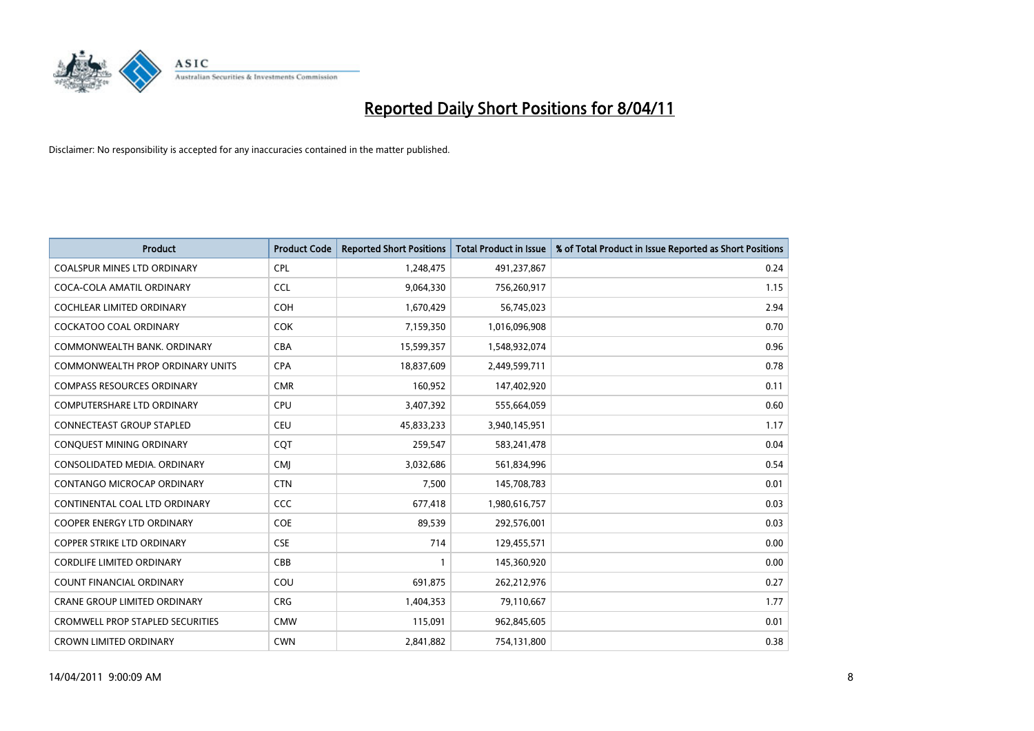

| <b>Product</b>                          | <b>Product Code</b> | <b>Reported Short Positions</b> | Total Product in Issue | % of Total Product in Issue Reported as Short Positions |
|-----------------------------------------|---------------------|---------------------------------|------------------------|---------------------------------------------------------|
| <b>COALSPUR MINES LTD ORDINARY</b>      | <b>CPL</b>          | 1,248,475                       | 491,237,867            | 0.24                                                    |
| COCA-COLA AMATIL ORDINARY               | <b>CCL</b>          | 9,064,330                       | 756,260,917            | 1.15                                                    |
| <b>COCHLEAR LIMITED ORDINARY</b>        | <b>COH</b>          | 1,670,429                       | 56,745,023             | 2.94                                                    |
| COCKATOO COAL ORDINARY                  | <b>COK</b>          | 7,159,350                       | 1,016,096,908          | 0.70                                                    |
| COMMONWEALTH BANK, ORDINARY             | <b>CBA</b>          | 15,599,357                      | 1,548,932,074          | 0.96                                                    |
| COMMONWEALTH PROP ORDINARY UNITS        | <b>CPA</b>          | 18,837,609                      | 2,449,599,711          | 0.78                                                    |
| <b>COMPASS RESOURCES ORDINARY</b>       | <b>CMR</b>          | 160,952                         | 147,402,920            | 0.11                                                    |
| <b>COMPUTERSHARE LTD ORDINARY</b>       | <b>CPU</b>          | 3,407,392                       | 555,664,059            | 0.60                                                    |
| CONNECTEAST GROUP STAPLED               | <b>CEU</b>          | 45,833,233                      | 3,940,145,951          | 1.17                                                    |
| <b>CONOUEST MINING ORDINARY</b>         | <b>COT</b>          | 259,547                         | 583,241,478            | 0.04                                                    |
| CONSOLIDATED MEDIA, ORDINARY            | <b>CMI</b>          | 3,032,686                       | 561,834,996            | 0.54                                                    |
| CONTANGO MICROCAP ORDINARY              | <b>CTN</b>          | 7,500                           | 145,708,783            | 0.01                                                    |
| CONTINENTAL COAL LTD ORDINARY           | <b>CCC</b>          | 677,418                         | 1,980,616,757          | 0.03                                                    |
| <b>COOPER ENERGY LTD ORDINARY</b>       | <b>COE</b>          | 89,539                          | 292,576,001            | 0.03                                                    |
| <b>COPPER STRIKE LTD ORDINARY</b>       | <b>CSE</b>          | 714                             | 129,455,571            | 0.00                                                    |
| <b>CORDLIFE LIMITED ORDINARY</b>        | CBB                 |                                 | 145,360,920            | 0.00                                                    |
| <b>COUNT FINANCIAL ORDINARY</b>         | COU                 | 691,875                         | 262,212,976            | 0.27                                                    |
| CRANE GROUP LIMITED ORDINARY            | <b>CRG</b>          | 1,404,353                       | 79,110,667             | 1.77                                                    |
| <b>CROMWELL PROP STAPLED SECURITIES</b> | <b>CMW</b>          | 115,091                         | 962,845,605            | 0.01                                                    |
| <b>CROWN LIMITED ORDINARY</b>           | <b>CWN</b>          | 2.841.882                       | 754,131,800            | 0.38                                                    |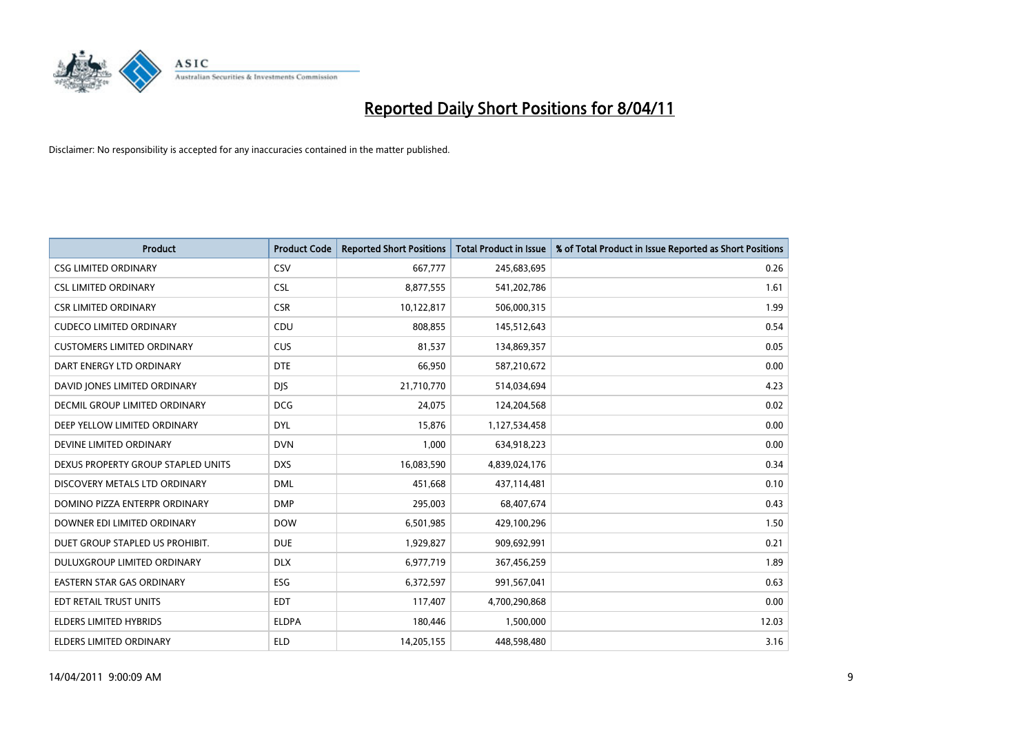

| <b>Product</b>                     | <b>Product Code</b> | <b>Reported Short Positions</b> | Total Product in Issue | % of Total Product in Issue Reported as Short Positions |
|------------------------------------|---------------------|---------------------------------|------------------------|---------------------------------------------------------|
| <b>CSG LIMITED ORDINARY</b>        | <b>CSV</b>          | 667,777                         | 245,683,695            | 0.26                                                    |
| <b>CSL LIMITED ORDINARY</b>        | <b>CSL</b>          | 8,877,555                       | 541,202,786            | 1.61                                                    |
| <b>CSR LIMITED ORDINARY</b>        | <b>CSR</b>          | 10,122,817                      | 506,000,315            | 1.99                                                    |
| <b>CUDECO LIMITED ORDINARY</b>     | CDU                 | 808,855                         | 145,512,643            | 0.54                                                    |
| <b>CUSTOMERS LIMITED ORDINARY</b>  | <b>CUS</b>          | 81,537                          | 134,869,357            | 0.05                                                    |
| DART ENERGY LTD ORDINARY           | <b>DTE</b>          | 66.950                          | 587,210,672            | 0.00                                                    |
| DAVID JONES LIMITED ORDINARY       | <b>DJS</b>          | 21,710,770                      | 514,034,694            | 4.23                                                    |
| DECMIL GROUP LIMITED ORDINARY      | <b>DCG</b>          | 24,075                          | 124,204,568            | 0.02                                                    |
| DEEP YELLOW LIMITED ORDINARY       | <b>DYL</b>          | 15,876                          | 1,127,534,458          | 0.00                                                    |
| DEVINE LIMITED ORDINARY            | <b>DVN</b>          | 1,000                           | 634,918,223            | 0.00                                                    |
| DEXUS PROPERTY GROUP STAPLED UNITS | <b>DXS</b>          | 16,083,590                      | 4,839,024,176          | 0.34                                                    |
| DISCOVERY METALS LTD ORDINARY      | <b>DML</b>          | 451,668                         | 437,114,481            | 0.10                                                    |
| DOMINO PIZZA ENTERPR ORDINARY      | <b>DMP</b>          | 295,003                         | 68,407,674             | 0.43                                                    |
| DOWNER EDI LIMITED ORDINARY        | <b>DOW</b>          | 6,501,985                       | 429,100,296            | 1.50                                                    |
| DUET GROUP STAPLED US PROHIBIT.    | <b>DUE</b>          | 1,929,827                       | 909,692,991            | 0.21                                                    |
| DULUXGROUP LIMITED ORDINARY        | <b>DLX</b>          | 6,977,719                       | 367,456,259            | 1.89                                                    |
| <b>EASTERN STAR GAS ORDINARY</b>   | ESG                 | 6,372,597                       | 991,567,041            | 0.63                                                    |
| EDT RETAIL TRUST UNITS             | <b>EDT</b>          | 117,407                         | 4,700,290,868          | 0.00                                                    |
| ELDERS LIMITED HYBRIDS             | <b>ELDPA</b>        | 180,446                         | 1,500,000              | 12.03                                                   |
| ELDERS LIMITED ORDINARY            | <b>ELD</b>          | 14,205,155                      | 448,598,480            | 3.16                                                    |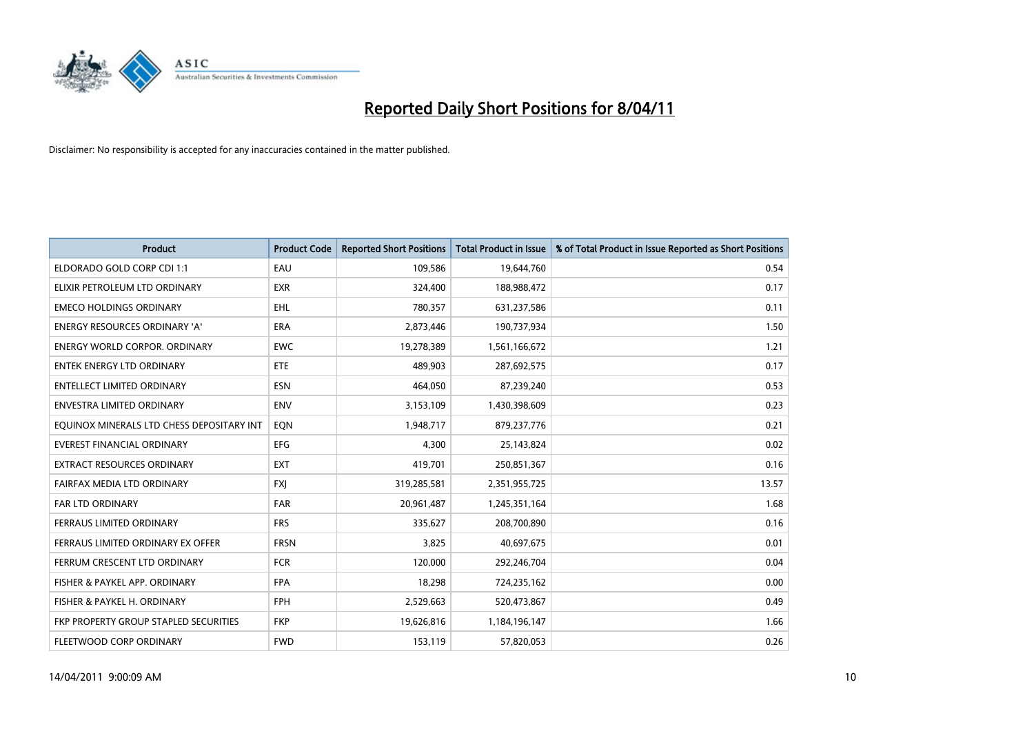

| <b>Product</b>                            | <b>Product Code</b> | <b>Reported Short Positions</b> | Total Product in Issue | % of Total Product in Issue Reported as Short Positions |
|-------------------------------------------|---------------------|---------------------------------|------------------------|---------------------------------------------------------|
| ELDORADO GOLD CORP CDI 1:1                | EAU                 | 109,586                         | 19,644,760             | 0.54                                                    |
| ELIXIR PETROLEUM LTD ORDINARY             | <b>EXR</b>          | 324,400                         | 188,988,472            | 0.17                                                    |
| <b>EMECO HOLDINGS ORDINARY</b>            | <b>EHL</b>          | 780,357                         | 631,237,586            | 0.11                                                    |
| ENERGY RESOURCES ORDINARY 'A'             | <b>ERA</b>          | 2,873,446                       | 190,737,934            | 1.50                                                    |
| <b>ENERGY WORLD CORPOR, ORDINARY</b>      | <b>EWC</b>          | 19,278,389                      | 1,561,166,672          | 1.21                                                    |
| ENTEK ENERGY LTD ORDINARY                 | <b>ETE</b>          | 489.903                         | 287,692,575            | 0.17                                                    |
| <b>ENTELLECT LIMITED ORDINARY</b>         | <b>ESN</b>          | 464,050                         | 87,239,240             | 0.53                                                    |
| ENVESTRA LIMITED ORDINARY                 | <b>ENV</b>          | 3,153,109                       | 1,430,398,609          | 0.23                                                    |
| EQUINOX MINERALS LTD CHESS DEPOSITARY INT | EQN                 | 1,948,717                       | 879,237,776            | 0.21                                                    |
| EVEREST FINANCIAL ORDINARY                | <b>EFG</b>          | 4.300                           | 25,143,824             | 0.02                                                    |
| EXTRACT RESOURCES ORDINARY                | <b>EXT</b>          | 419,701                         | 250,851,367            | 0.16                                                    |
| FAIRFAX MEDIA LTD ORDINARY                | <b>FXI</b>          | 319,285,581                     | 2,351,955,725          | 13.57                                                   |
| <b>FAR LTD ORDINARY</b>                   | FAR                 | 20,961,487                      | 1,245,351,164          | 1.68                                                    |
| FERRAUS LIMITED ORDINARY                  | <b>FRS</b>          | 335,627                         | 208,700,890            | 0.16                                                    |
| FERRAUS LIMITED ORDINARY EX OFFER         | <b>FRSN</b>         | 3,825                           | 40,697,675             | 0.01                                                    |
| FERRUM CRESCENT LTD ORDINARY              | <b>FCR</b>          | 120,000                         | 292,246,704            | 0.04                                                    |
| FISHER & PAYKEL APP. ORDINARY             | <b>FPA</b>          | 18,298                          | 724,235,162            | 0.00                                                    |
| FISHER & PAYKEL H. ORDINARY               | <b>FPH</b>          | 2,529,663                       | 520,473,867            | 0.49                                                    |
| FKP PROPERTY GROUP STAPLED SECURITIES     | <b>FKP</b>          | 19,626,816                      | 1,184,196,147          | 1.66                                                    |
| FLEETWOOD CORP ORDINARY                   | <b>FWD</b>          | 153,119                         | 57,820,053             | 0.26                                                    |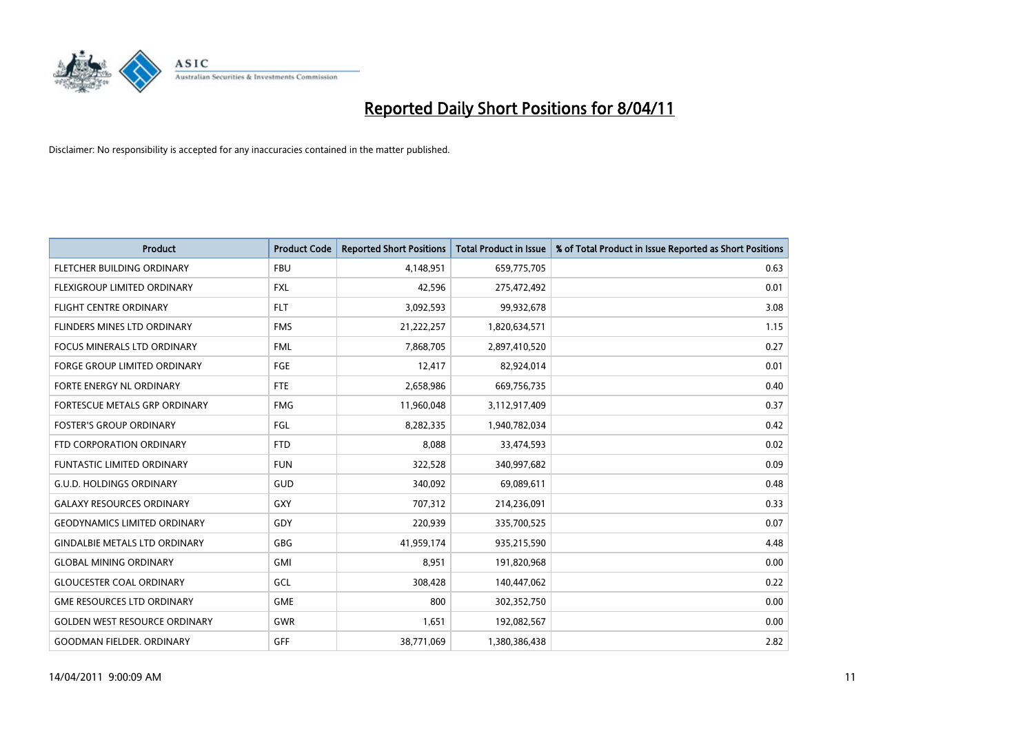

| Product                              | <b>Product Code</b> | <b>Reported Short Positions</b> | <b>Total Product in Issue</b> | % of Total Product in Issue Reported as Short Positions |
|--------------------------------------|---------------------|---------------------------------|-------------------------------|---------------------------------------------------------|
| FLETCHER BUILDING ORDINARY           | <b>FBU</b>          | 4,148,951                       | 659,775,705                   | 0.63                                                    |
| FLEXIGROUP LIMITED ORDINARY          | <b>FXL</b>          | 42,596                          | 275,472,492                   | 0.01                                                    |
| <b>FLIGHT CENTRE ORDINARY</b>        | <b>FLT</b>          | 3,092,593                       | 99,932,678                    | 3.08                                                    |
| FLINDERS MINES LTD ORDINARY          | <b>FMS</b>          | 21,222,257                      | 1,820,634,571                 | 1.15                                                    |
| <b>FOCUS MINERALS LTD ORDINARY</b>   | <b>FML</b>          | 7,868,705                       | 2,897,410,520                 | 0.27                                                    |
| <b>FORGE GROUP LIMITED ORDINARY</b>  | FGE                 | 12,417                          | 82,924,014                    | 0.01                                                    |
| FORTE ENERGY NL ORDINARY             | <b>FTE</b>          | 2,658,986                       | 669,756,735                   | 0.40                                                    |
| FORTESCUE METALS GRP ORDINARY        | <b>FMG</b>          | 11,960,048                      | 3,112,917,409                 | 0.37                                                    |
| <b>FOSTER'S GROUP ORDINARY</b>       | FGL                 | 8,282,335                       | 1,940,782,034                 | 0.42                                                    |
| FTD CORPORATION ORDINARY             | <b>FTD</b>          | 8,088                           | 33,474,593                    | 0.02                                                    |
| <b>FUNTASTIC LIMITED ORDINARY</b>    | <b>FUN</b>          | 322,528                         | 340,997,682                   | 0.09                                                    |
| <b>G.U.D. HOLDINGS ORDINARY</b>      | GUD                 | 340,092                         | 69,089,611                    | 0.48                                                    |
| <b>GALAXY RESOURCES ORDINARY</b>     | GXY                 | 707,312                         | 214,236,091                   | 0.33                                                    |
| <b>GEODYNAMICS LIMITED ORDINARY</b>  | GDY                 | 220,939                         | 335,700,525                   | 0.07                                                    |
| <b>GINDALBIE METALS LTD ORDINARY</b> | <b>GBG</b>          | 41,959,174                      | 935,215,590                   | 4.48                                                    |
| <b>GLOBAL MINING ORDINARY</b>        | GMI                 | 8,951                           | 191,820,968                   | 0.00                                                    |
| <b>GLOUCESTER COAL ORDINARY</b>      | GCL                 | 308,428                         | 140,447,062                   | 0.22                                                    |
| <b>GME RESOURCES LTD ORDINARY</b>    | <b>GME</b>          | 800                             | 302,352,750                   | 0.00                                                    |
| <b>GOLDEN WEST RESOURCE ORDINARY</b> | <b>GWR</b>          | 1,651                           | 192,082,567                   | 0.00                                                    |
| <b>GOODMAN FIELDER, ORDINARY</b>     | GFF                 | 38,771,069                      | 1,380,386,438                 | 2.82                                                    |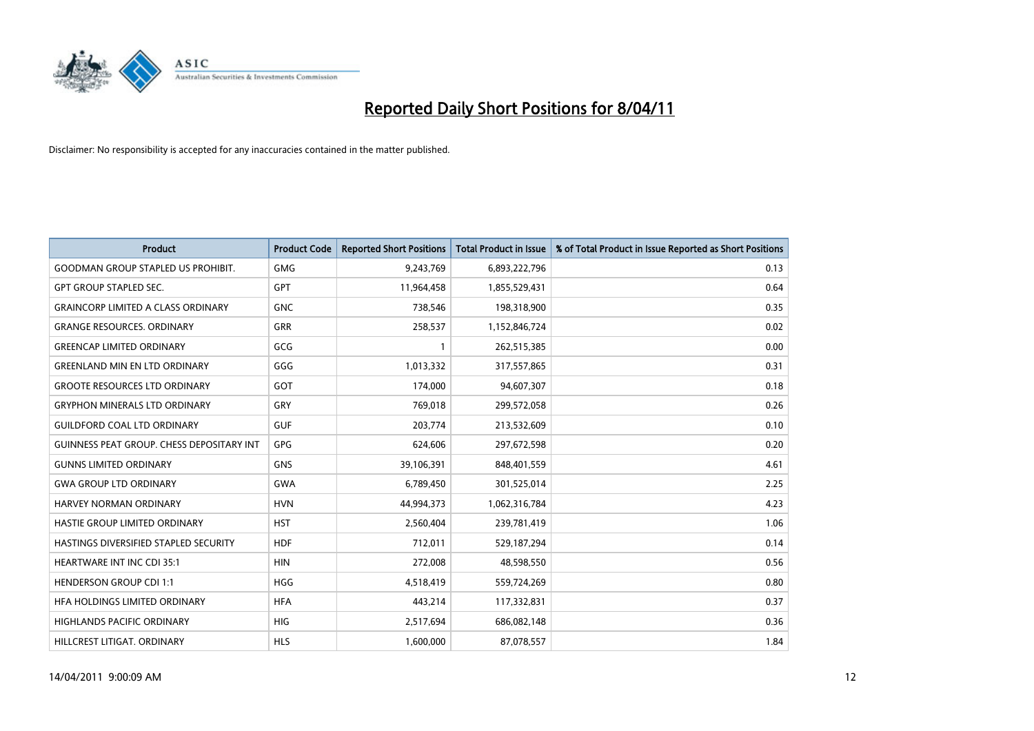

| <b>Product</b>                               | <b>Product Code</b> | <b>Reported Short Positions</b> | <b>Total Product in Issue</b> | % of Total Product in Issue Reported as Short Positions |
|----------------------------------------------|---------------------|---------------------------------|-------------------------------|---------------------------------------------------------|
| <b>GOODMAN GROUP STAPLED US PROHIBIT.</b>    | <b>GMG</b>          | 9,243,769                       | 6,893,222,796                 | 0.13                                                    |
| <b>GPT GROUP STAPLED SEC.</b>                | <b>GPT</b>          | 11,964,458                      | 1,855,529,431                 | 0.64                                                    |
| <b>GRAINCORP LIMITED A CLASS ORDINARY</b>    | <b>GNC</b>          | 738,546                         | 198,318,900                   | 0.35                                                    |
| <b>GRANGE RESOURCES. ORDINARY</b>            | <b>GRR</b>          | 258,537                         | 1,152,846,724                 | 0.02                                                    |
| <b>GREENCAP LIMITED ORDINARY</b>             | GCG                 |                                 | 262,515,385                   | 0.00                                                    |
| <b>GREENLAND MIN EN LTD ORDINARY</b>         | GGG                 | 1,013,332                       | 317,557,865                   | 0.31                                                    |
| <b>GROOTE RESOURCES LTD ORDINARY</b>         | GOT                 | 174,000                         | 94,607,307                    | 0.18                                                    |
| <b>GRYPHON MINERALS LTD ORDINARY</b>         | GRY                 | 769,018                         | 299,572,058                   | 0.26                                                    |
| <b>GUILDFORD COAL LTD ORDINARY</b>           | <b>GUF</b>          | 203,774                         | 213,532,609                   | 0.10                                                    |
| GUINNESS PEAT GROUP. CHESS DEPOSITARY INT    | <b>GPG</b>          | 624,606                         | 297,672,598                   | 0.20                                                    |
| <b>GUNNS LIMITED ORDINARY</b>                | <b>GNS</b>          | 39,106,391                      | 848,401,559                   | 4.61                                                    |
| <b>GWA GROUP LTD ORDINARY</b>                | <b>GWA</b>          | 6,789,450                       | 301,525,014                   | 2.25                                                    |
| HARVEY NORMAN ORDINARY                       | <b>HVN</b>          | 44,994,373                      | 1,062,316,784                 | 4.23                                                    |
| HASTIE GROUP LIMITED ORDINARY                | <b>HST</b>          | 2,560,404                       | 239,781,419                   | 1.06                                                    |
| <b>HASTINGS DIVERSIFIED STAPLED SECURITY</b> | <b>HDF</b>          | 712,011                         | 529,187,294                   | 0.14                                                    |
| <b>HEARTWARE INT INC CDI 35:1</b>            | <b>HIN</b>          | 272,008                         | 48,598,550                    | 0.56                                                    |
| <b>HENDERSON GROUP CDI 1:1</b>               | <b>HGG</b>          | 4,518,419                       | 559,724,269                   | 0.80                                                    |
| HFA HOLDINGS LIMITED ORDINARY                | <b>HFA</b>          | 443,214                         | 117,332,831                   | 0.37                                                    |
| <b>HIGHLANDS PACIFIC ORDINARY</b>            | <b>HIG</b>          | 2,517,694                       | 686,082,148                   | 0.36                                                    |
| HILLCREST LITIGAT. ORDINARY                  | <b>HLS</b>          | 1,600,000                       | 87,078,557                    | 1.84                                                    |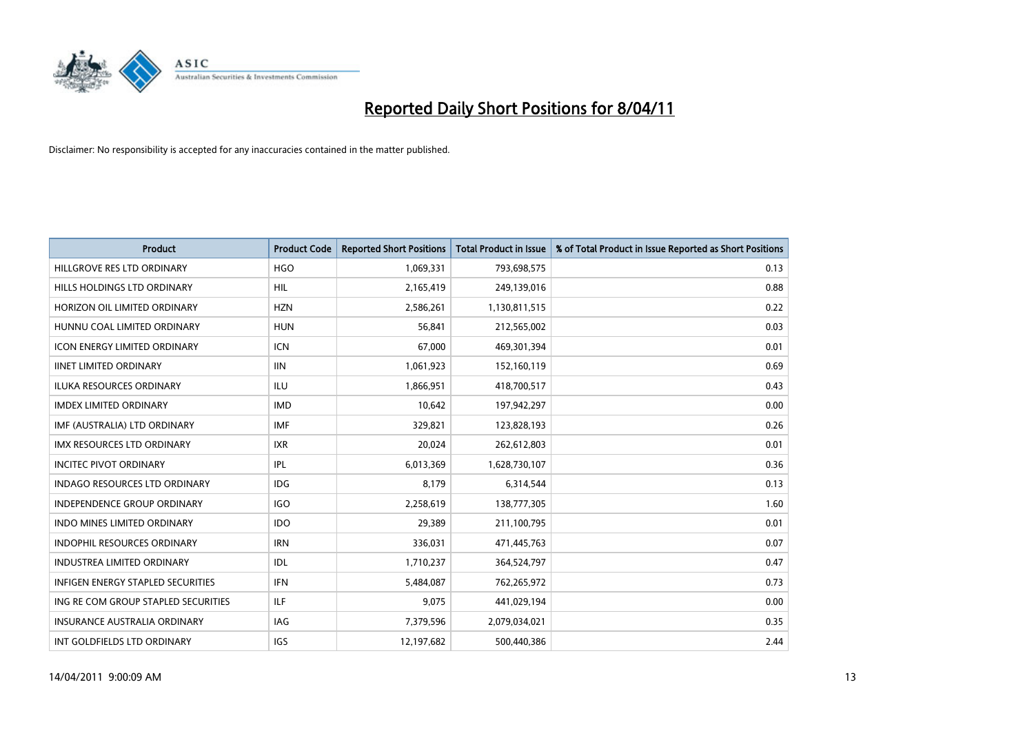

| <b>Product</b>                           | <b>Product Code</b> | <b>Reported Short Positions</b> | Total Product in Issue | % of Total Product in Issue Reported as Short Positions |
|------------------------------------------|---------------------|---------------------------------|------------------------|---------------------------------------------------------|
| HILLGROVE RES LTD ORDINARY               | <b>HGO</b>          | 1,069,331                       | 793,698,575            | 0.13                                                    |
| HILLS HOLDINGS LTD ORDINARY              | <b>HIL</b>          | 2,165,419                       | 249,139,016            | 0.88                                                    |
| HORIZON OIL LIMITED ORDINARY             | <b>HZN</b>          | 2,586,261                       | 1,130,811,515          | 0.22                                                    |
| HUNNU COAL LIMITED ORDINARY              | <b>HUN</b>          | 56,841                          | 212,565,002            | 0.03                                                    |
| <b>ICON ENERGY LIMITED ORDINARY</b>      | <b>ICN</b>          | 67,000                          | 469,301,394            | 0.01                                                    |
| <b>IINET LIMITED ORDINARY</b>            | <b>IIN</b>          | 1,061,923                       | 152,160,119            | 0.69                                                    |
| <b>ILUKA RESOURCES ORDINARY</b>          | <b>ILU</b>          | 1,866,951                       | 418,700,517            | 0.43                                                    |
| <b>IMDEX LIMITED ORDINARY</b>            | <b>IMD</b>          | 10,642                          | 197,942,297            | 0.00                                                    |
| IMF (AUSTRALIA) LTD ORDINARY             | <b>IMF</b>          | 329,821                         | 123,828,193            | 0.26                                                    |
| <b>IMX RESOURCES LTD ORDINARY</b>        | <b>IXR</b>          | 20,024                          | 262,612,803            | 0.01                                                    |
| <b>INCITEC PIVOT ORDINARY</b>            | IPL                 | 6,013,369                       | 1,628,730,107          | 0.36                                                    |
| <b>INDAGO RESOURCES LTD ORDINARY</b>     | <b>IDG</b>          | 8,179                           | 6,314,544              | 0.13                                                    |
| <b>INDEPENDENCE GROUP ORDINARY</b>       | <b>IGO</b>          | 2,258,619                       | 138,777,305            | 1.60                                                    |
| <b>INDO MINES LIMITED ORDINARY</b>       | <b>IDO</b>          | 29,389                          | 211,100,795            | 0.01                                                    |
| <b>INDOPHIL RESOURCES ORDINARY</b>       | <b>IRN</b>          | 336,031                         | 471,445,763            | 0.07                                                    |
| <b>INDUSTREA LIMITED ORDINARY</b>        | IDL                 | 1,710,237                       | 364,524,797            | 0.47                                                    |
| <b>INFIGEN ENERGY STAPLED SECURITIES</b> | <b>IFN</b>          | 5,484,087                       | 762,265,972            | 0.73                                                    |
| ING RE COM GROUP STAPLED SECURITIES      | <b>ILF</b>          | 9,075                           | 441,029,194            | 0.00                                                    |
| <b>INSURANCE AUSTRALIA ORDINARY</b>      | IAG                 | 7,379,596                       | 2,079,034,021          | 0.35                                                    |
| INT GOLDFIELDS LTD ORDINARY              | IGS                 | 12,197,682                      | 500,440,386            | 2.44                                                    |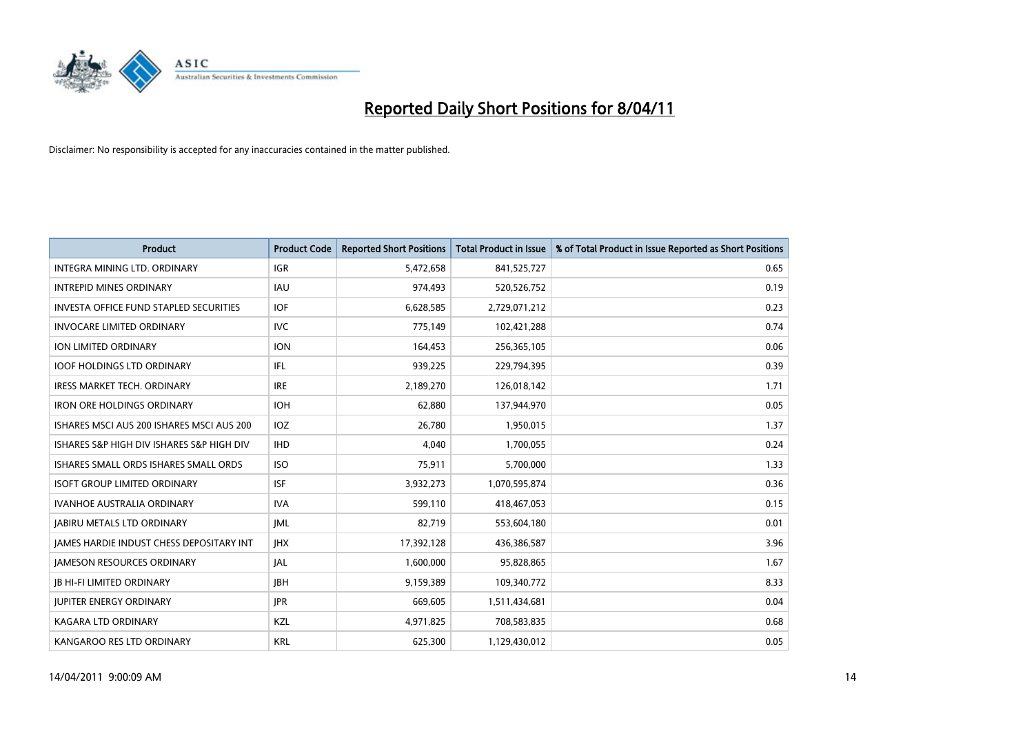

| <b>Product</b>                                | <b>Product Code</b> | <b>Reported Short Positions</b> | Total Product in Issue | % of Total Product in Issue Reported as Short Positions |
|-----------------------------------------------|---------------------|---------------------------------|------------------------|---------------------------------------------------------|
| INTEGRA MINING LTD, ORDINARY                  | <b>IGR</b>          | 5,472,658                       | 841,525,727            | 0.65                                                    |
| <b>INTREPID MINES ORDINARY</b>                | <b>IAU</b>          | 974,493                         | 520,526,752            | 0.19                                                    |
| <b>INVESTA OFFICE FUND STAPLED SECURITIES</b> | <b>IOF</b>          | 6,628,585                       | 2,729,071,212          | 0.23                                                    |
| <b>INVOCARE LIMITED ORDINARY</b>              | <b>IVC</b>          | 775,149                         | 102,421,288            | 0.74                                                    |
| <b>ION LIMITED ORDINARY</b>                   | <b>ION</b>          | 164,453                         | 256,365,105            | 0.06                                                    |
| <b>IOOF HOLDINGS LTD ORDINARY</b>             | <b>IFL</b>          | 939,225                         | 229,794,395            | 0.39                                                    |
| <b>IRESS MARKET TECH. ORDINARY</b>            | <b>IRE</b>          | 2,189,270                       | 126,018,142            | 1.71                                                    |
| <b>IRON ORE HOLDINGS ORDINARY</b>             | <b>IOH</b>          | 62,880                          | 137,944,970            | 0.05                                                    |
| ISHARES MSCI AUS 200 ISHARES MSCI AUS 200     | <b>IOZ</b>          | 26,780                          | 1,950,015              | 1.37                                                    |
| ISHARES S&P HIGH DIV ISHARES S&P HIGH DIV     | <b>IHD</b>          | 4.040                           | 1,700,055              | 0.24                                                    |
| ISHARES SMALL ORDS ISHARES SMALL ORDS         | <b>ISO</b>          | 75,911                          | 5,700,000              | 1.33                                                    |
| <b>ISOFT GROUP LIMITED ORDINARY</b>           | <b>ISF</b>          | 3,932,273                       | 1,070,595,874          | 0.36                                                    |
| <b>IVANHOE AUSTRALIA ORDINARY</b>             | <b>IVA</b>          | 599,110                         | 418,467,053            | 0.15                                                    |
| <b>JABIRU METALS LTD ORDINARY</b>             | <b>JML</b>          | 82.719                          | 553,604,180            | 0.01                                                    |
| JAMES HARDIE INDUST CHESS DEPOSITARY INT      | <b>IHX</b>          | 17,392,128                      | 436,386,587            | 3.96                                                    |
| <b>JAMESON RESOURCES ORDINARY</b>             | <b>JAL</b>          | 1,600,000                       | 95,828,865             | 1.67                                                    |
| <b>JB HI-FI LIMITED ORDINARY</b>              | <b>IBH</b>          | 9,159,389                       | 109,340,772            | 8.33                                                    |
| <b>JUPITER ENERGY ORDINARY</b>                | <b>JPR</b>          | 669,605                         | 1,511,434,681          | 0.04                                                    |
| <b>KAGARA LTD ORDINARY</b>                    | KZL                 | 4,971,825                       | 708,583,835            | 0.68                                                    |
| KANGAROO RES LTD ORDINARY                     | <b>KRL</b>          | 625,300                         | 1,129,430,012          | 0.05                                                    |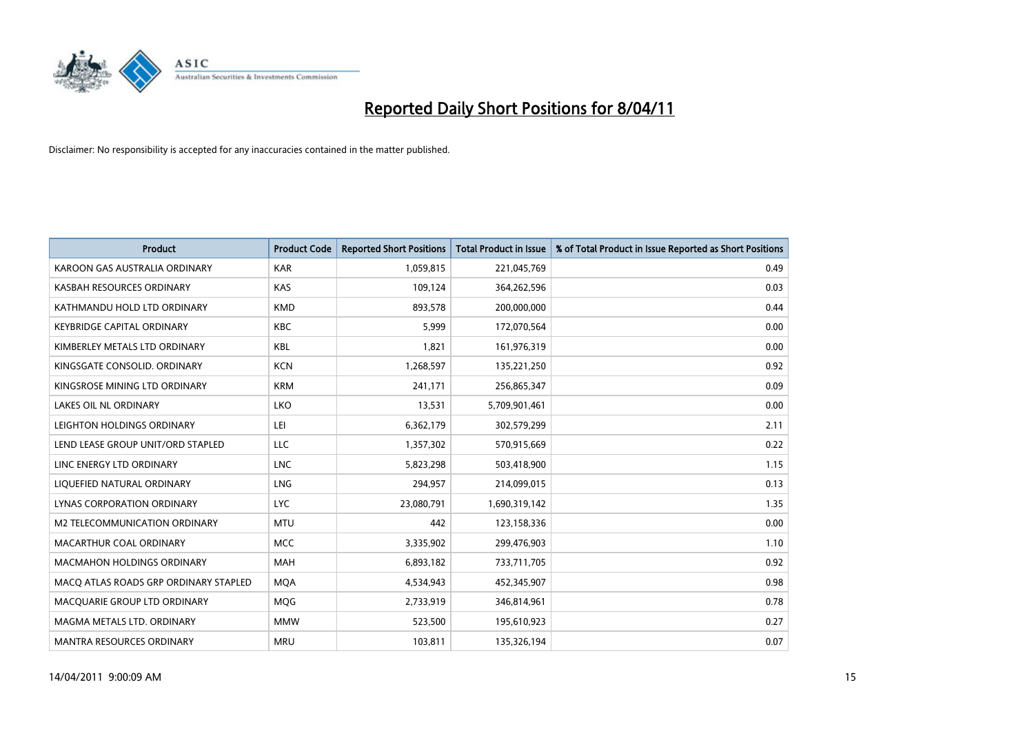

| Product                               | <b>Product Code</b> | <b>Reported Short Positions</b> | Total Product in Issue | % of Total Product in Issue Reported as Short Positions |
|---------------------------------------|---------------------|---------------------------------|------------------------|---------------------------------------------------------|
| KAROON GAS AUSTRALIA ORDINARY         | <b>KAR</b>          | 1,059,815                       | 221,045,769            | 0.49                                                    |
| KASBAH RESOURCES ORDINARY             | <b>KAS</b>          | 109,124                         | 364,262,596            | 0.03                                                    |
| KATHMANDU HOLD LTD ORDINARY           | <b>KMD</b>          | 893,578                         | 200,000,000            | 0.44                                                    |
| <b>KEYBRIDGE CAPITAL ORDINARY</b>     | <b>KBC</b>          | 5,999                           | 172,070,564            | 0.00                                                    |
| KIMBERLEY METALS LTD ORDINARY         | KBL                 | 1,821                           | 161,976,319            | 0.00                                                    |
| KINGSGATE CONSOLID. ORDINARY          | <b>KCN</b>          | 1,268,597                       | 135,221,250            | 0.92                                                    |
| KINGSROSE MINING LTD ORDINARY         | <b>KRM</b>          | 241,171                         | 256,865,347            | 0.09                                                    |
| LAKES OIL NL ORDINARY                 | LKO                 | 13,531                          | 5,709,901,461          | 0.00                                                    |
| LEIGHTON HOLDINGS ORDINARY            | LEI                 | 6,362,179                       | 302,579,299            | 2.11                                                    |
| LEND LEASE GROUP UNIT/ORD STAPLED     | <b>LLC</b>          | 1,357,302                       | 570,915,669            | 0.22                                                    |
| LINC ENERGY LTD ORDINARY              | <b>LNC</b>          | 5,823,298                       | 503,418,900            | 1.15                                                    |
| LIQUEFIED NATURAL ORDINARY            | <b>LNG</b>          | 294,957                         | 214,099,015            | 0.13                                                    |
| LYNAS CORPORATION ORDINARY            | <b>LYC</b>          | 23,080,791                      | 1,690,319,142          | 1.35                                                    |
| M2 TELECOMMUNICATION ORDINARY         | <b>MTU</b>          | 442                             | 123,158,336            | 0.00                                                    |
| MACARTHUR COAL ORDINARY               | <b>MCC</b>          | 3,335,902                       | 299,476,903            | 1.10                                                    |
| <b>MACMAHON HOLDINGS ORDINARY</b>     | <b>MAH</b>          | 6,893,182                       | 733,711,705            | 0.92                                                    |
| MACQ ATLAS ROADS GRP ORDINARY STAPLED | <b>MQA</b>          | 4,534,943                       | 452,345,907            | 0.98                                                    |
| MACQUARIE GROUP LTD ORDINARY          | <b>MOG</b>          | 2,733,919                       | 346,814,961            | 0.78                                                    |
| MAGMA METALS LTD. ORDINARY            | <b>MMW</b>          | 523,500                         | 195,610,923            | 0.27                                                    |
| <b>MANTRA RESOURCES ORDINARY</b>      | <b>MRU</b>          | 103,811                         | 135,326,194            | 0.07                                                    |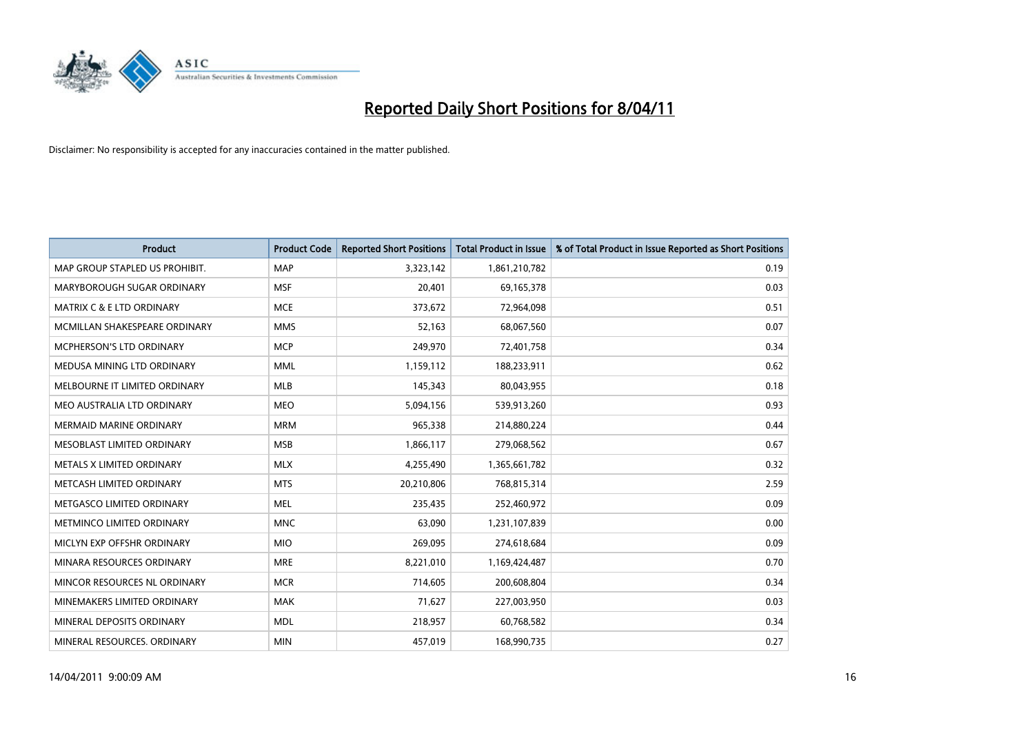

| <b>Product</b>                       | <b>Product Code</b> | <b>Reported Short Positions</b> | Total Product in Issue | % of Total Product in Issue Reported as Short Positions |
|--------------------------------------|---------------------|---------------------------------|------------------------|---------------------------------------------------------|
| MAP GROUP STAPLED US PROHIBIT.       | <b>MAP</b>          | 3,323,142                       | 1,861,210,782          | 0.19                                                    |
| MARYBOROUGH SUGAR ORDINARY           | <b>MSF</b>          | 20,401                          | 69,165,378             | 0.03                                                    |
| <b>MATRIX C &amp; E LTD ORDINARY</b> | <b>MCE</b>          | 373,672                         | 72,964,098             | 0.51                                                    |
| MCMILLAN SHAKESPEARE ORDINARY        | <b>MMS</b>          | 52,163                          | 68,067,560             | 0.07                                                    |
| <b>MCPHERSON'S LTD ORDINARY</b>      | <b>MCP</b>          | 249,970                         | 72,401,758             | 0.34                                                    |
| MEDUSA MINING LTD ORDINARY           | <b>MML</b>          | 1,159,112                       | 188,233,911            | 0.62                                                    |
| MELBOURNE IT LIMITED ORDINARY        | <b>MLB</b>          | 145,343                         | 80,043,955             | 0.18                                                    |
| MEO AUSTRALIA LTD ORDINARY           | <b>MEO</b>          | 5,094,156                       | 539,913,260            | 0.93                                                    |
| MERMAID MARINE ORDINARY              | <b>MRM</b>          | 965,338                         | 214,880,224            | 0.44                                                    |
| MESOBLAST LIMITED ORDINARY           | <b>MSB</b>          | 1,866,117                       | 279,068,562            | 0.67                                                    |
| METALS X LIMITED ORDINARY            | <b>MLX</b>          | 4,255,490                       | 1,365,661,782          | 0.32                                                    |
| METCASH LIMITED ORDINARY             | <b>MTS</b>          | 20,210,806                      | 768,815,314            | 2.59                                                    |
| METGASCO LIMITED ORDINARY            | <b>MEL</b>          | 235.435                         | 252,460,972            | 0.09                                                    |
| <b>METMINCO LIMITED ORDINARY</b>     | <b>MNC</b>          | 63.090                          | 1,231,107,839          | 0.00                                                    |
| MICLYN EXP OFFSHR ORDINARY           | <b>MIO</b>          | 269,095                         | 274,618,684            | 0.09                                                    |
| MINARA RESOURCES ORDINARY            | <b>MRE</b>          | 8,221,010                       | 1,169,424,487          | 0.70                                                    |
| MINCOR RESOURCES NL ORDINARY         | <b>MCR</b>          | 714,605                         | 200,608,804            | 0.34                                                    |
| MINEMAKERS LIMITED ORDINARY          | <b>MAK</b>          | 71,627                          | 227,003,950            | 0.03                                                    |
| MINERAL DEPOSITS ORDINARY            | <b>MDL</b>          | 218,957                         | 60,768,582             | 0.34                                                    |
| MINERAL RESOURCES. ORDINARY          | <b>MIN</b>          | 457,019                         | 168,990,735            | 0.27                                                    |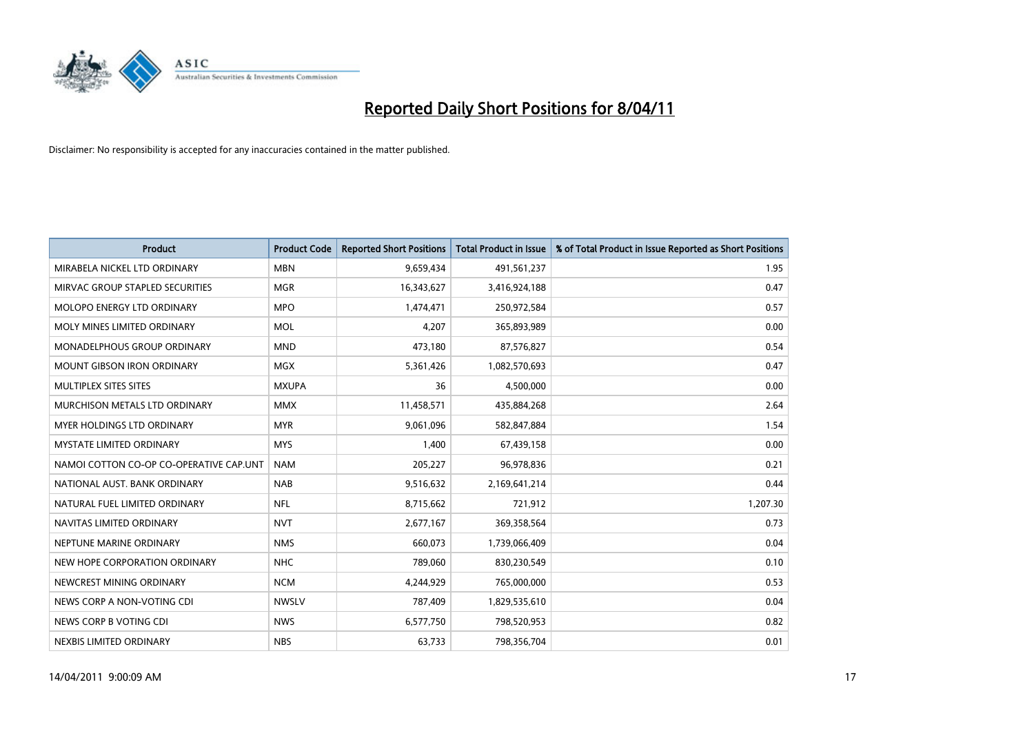

| Product                                 | <b>Product Code</b> | <b>Reported Short Positions</b> | <b>Total Product in Issue</b> | % of Total Product in Issue Reported as Short Positions |
|-----------------------------------------|---------------------|---------------------------------|-------------------------------|---------------------------------------------------------|
| MIRABELA NICKEL LTD ORDINARY            | <b>MBN</b>          | 9,659,434                       | 491,561,237                   | 1.95                                                    |
| MIRVAC GROUP STAPLED SECURITIES         | <b>MGR</b>          | 16,343,627                      | 3,416,924,188                 | 0.47                                                    |
| MOLOPO ENERGY LTD ORDINARY              | <b>MPO</b>          | 1,474,471                       | 250,972,584                   | 0.57                                                    |
| MOLY MINES LIMITED ORDINARY             | <b>MOL</b>          | 4,207                           | 365,893,989                   | 0.00                                                    |
| MONADELPHOUS GROUP ORDINARY             | <b>MND</b>          | 473,180                         | 87,576,827                    | 0.54                                                    |
| <b>MOUNT GIBSON IRON ORDINARY</b>       | <b>MGX</b>          | 5,361,426                       | 1,082,570,693                 | 0.47                                                    |
| MULTIPLEX SITES SITES                   | <b>MXUPA</b>        | 36                              | 4,500,000                     | 0.00                                                    |
| MURCHISON METALS LTD ORDINARY           | <b>MMX</b>          | 11,458,571                      | 435,884,268                   | 2.64                                                    |
| MYER HOLDINGS LTD ORDINARY              | <b>MYR</b>          | 9,061,096                       | 582,847,884                   | 1.54                                                    |
| <b>MYSTATE LIMITED ORDINARY</b>         | <b>MYS</b>          | 1,400                           | 67,439,158                    | 0.00                                                    |
| NAMOI COTTON CO-OP CO-OPERATIVE CAP.UNT | <b>NAM</b>          | 205,227                         | 96,978,836                    | 0.21                                                    |
| NATIONAL AUST, BANK ORDINARY            | <b>NAB</b>          | 9,516,632                       | 2,169,641,214                 | 0.44                                                    |
| NATURAL FUEL LIMITED ORDINARY           | <b>NFL</b>          | 8,715,662                       | 721,912                       | 1,207.30                                                |
| NAVITAS LIMITED ORDINARY                | <b>NVT</b>          | 2,677,167                       | 369,358,564                   | 0.73                                                    |
| NEPTUNE MARINE ORDINARY                 | <b>NMS</b>          | 660,073                         | 1,739,066,409                 | 0.04                                                    |
| NEW HOPE CORPORATION ORDINARY           | <b>NHC</b>          | 789,060                         | 830,230,549                   | 0.10                                                    |
| NEWCREST MINING ORDINARY                | <b>NCM</b>          | 4,244,929                       | 765,000,000                   | 0.53                                                    |
| NEWS CORP A NON-VOTING CDI              | <b>NWSLV</b>        | 787,409                         | 1,829,535,610                 | 0.04                                                    |
| NEWS CORP B VOTING CDI                  | <b>NWS</b>          | 6,577,750                       | 798,520,953                   | 0.82                                                    |
| NEXBIS LIMITED ORDINARY                 | <b>NBS</b>          | 63,733                          | 798,356,704                   | 0.01                                                    |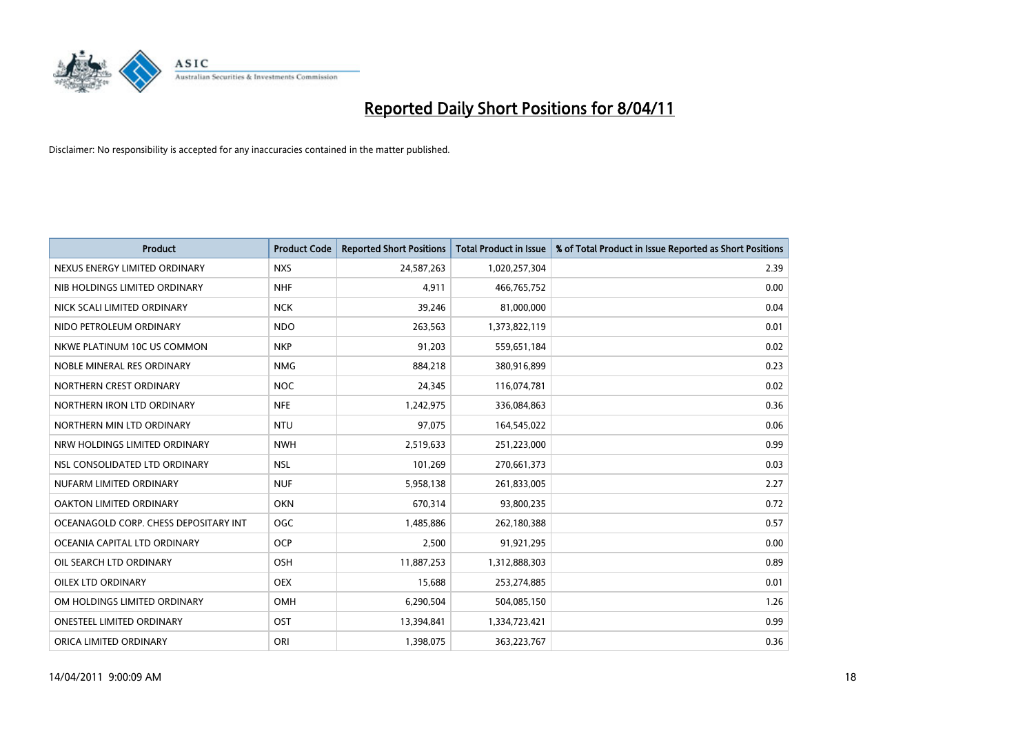

| <b>Product</b>                        | <b>Product Code</b> | <b>Reported Short Positions</b> | Total Product in Issue | % of Total Product in Issue Reported as Short Positions |
|---------------------------------------|---------------------|---------------------------------|------------------------|---------------------------------------------------------|
| NEXUS ENERGY LIMITED ORDINARY         | <b>NXS</b>          | 24,587,263                      | 1,020,257,304          | 2.39                                                    |
| NIB HOLDINGS LIMITED ORDINARY         | <b>NHF</b>          | 4.911                           | 466,765,752            | 0.00                                                    |
| NICK SCALI LIMITED ORDINARY           | <b>NCK</b>          | 39,246                          | 81,000,000             | 0.04                                                    |
| NIDO PETROLEUM ORDINARY               | <b>NDO</b>          | 263,563                         | 1,373,822,119          | 0.01                                                    |
| NKWE PLATINUM 10C US COMMON           | <b>NKP</b>          | 91,203                          | 559,651,184            | 0.02                                                    |
| NOBLE MINERAL RES ORDINARY            | <b>NMG</b>          | 884,218                         | 380,916,899            | 0.23                                                    |
| NORTHERN CREST ORDINARY               | <b>NOC</b>          | 24,345                          | 116,074,781            | 0.02                                                    |
| NORTHERN IRON LTD ORDINARY            | <b>NFE</b>          | 1,242,975                       | 336,084,863            | 0.36                                                    |
| NORTHERN MIN LTD ORDINARY             | <b>NTU</b>          | 97,075                          | 164,545,022            | 0.06                                                    |
| NRW HOLDINGS LIMITED ORDINARY         | <b>NWH</b>          | 2,519,633                       | 251,223,000            | 0.99                                                    |
| NSL CONSOLIDATED LTD ORDINARY         | <b>NSL</b>          | 101,269                         | 270,661,373            | 0.03                                                    |
| NUFARM LIMITED ORDINARY               | <b>NUF</b>          | 5,958,138                       | 261,833,005            | 2.27                                                    |
| OAKTON LIMITED ORDINARY               | <b>OKN</b>          | 670,314                         | 93,800,235             | 0.72                                                    |
| OCEANAGOLD CORP. CHESS DEPOSITARY INT | <b>OGC</b>          | 1,485,886                       | 262,180,388            | 0.57                                                    |
| OCEANIA CAPITAL LTD ORDINARY          | <b>OCP</b>          | 2,500                           | 91,921,295             | 0.00                                                    |
| OIL SEARCH LTD ORDINARY               | <b>OSH</b>          | 11,887,253                      | 1,312,888,303          | 0.89                                                    |
| <b>OILEX LTD ORDINARY</b>             | <b>OEX</b>          | 15,688                          | 253,274,885            | 0.01                                                    |
| OM HOLDINGS LIMITED ORDINARY          | OMH                 | 6,290,504                       | 504,085,150            | 1.26                                                    |
| <b>ONESTEEL LIMITED ORDINARY</b>      | OST                 | 13,394,841                      | 1,334,723,421          | 0.99                                                    |
| ORICA LIMITED ORDINARY                | ORI                 | 1,398,075                       | 363,223,767            | 0.36                                                    |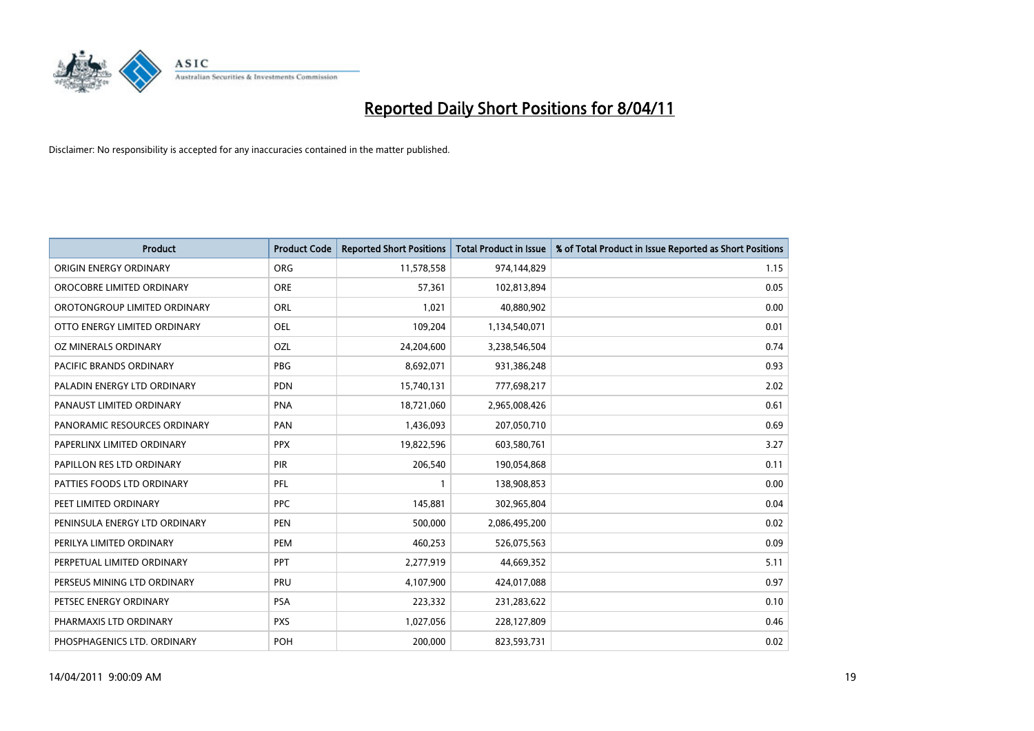

| Product                        | <b>Product Code</b> | <b>Reported Short Positions</b> | <b>Total Product in Issue</b> | % of Total Product in Issue Reported as Short Positions |
|--------------------------------|---------------------|---------------------------------|-------------------------------|---------------------------------------------------------|
| ORIGIN ENERGY ORDINARY         | <b>ORG</b>          | 11,578,558                      | 974,144,829                   | 1.15                                                    |
| OROCOBRE LIMITED ORDINARY      | <b>ORE</b>          | 57,361                          | 102,813,894                   | 0.05                                                    |
| OROTONGROUP LIMITED ORDINARY   | <b>ORL</b>          | 1,021                           | 40,880,902                    | 0.00                                                    |
| OTTO ENERGY LIMITED ORDINARY   | <b>OEL</b>          | 109,204                         | 1,134,540,071                 | 0.01                                                    |
| OZ MINERALS ORDINARY           | OZL                 | 24,204,600                      | 3,238,546,504                 | 0.74                                                    |
| <b>PACIFIC BRANDS ORDINARY</b> | <b>PBG</b>          | 8,692,071                       | 931,386,248                   | 0.93                                                    |
| PALADIN ENERGY LTD ORDINARY    | <b>PDN</b>          | 15,740,131                      | 777,698,217                   | 2.02                                                    |
| PANAUST LIMITED ORDINARY       | <b>PNA</b>          | 18,721,060                      | 2,965,008,426                 | 0.61                                                    |
| PANORAMIC RESOURCES ORDINARY   | PAN                 | 1,436,093                       | 207,050,710                   | 0.69                                                    |
| PAPERLINX LIMITED ORDINARY     | <b>PPX</b>          | 19,822,596                      | 603,580,761                   | 3.27                                                    |
| PAPILLON RES LTD ORDINARY      | PIR                 | 206,540                         | 190,054,868                   | 0.11                                                    |
| PATTIES FOODS LTD ORDINARY     | PFL                 |                                 | 138,908,853                   | 0.00                                                    |
| PEET LIMITED ORDINARY          | <b>PPC</b>          | 145,881                         | 302,965,804                   | 0.04                                                    |
| PENINSULA ENERGY LTD ORDINARY  | <b>PEN</b>          | 500,000                         | 2,086,495,200                 | 0.02                                                    |
| PERILYA LIMITED ORDINARY       | PEM                 | 460,253                         | 526,075,563                   | 0.09                                                    |
| PERPETUAL LIMITED ORDINARY     | PPT                 | 2,277,919                       | 44,669,352                    | 5.11                                                    |
| PERSEUS MINING LTD ORDINARY    | PRU                 | 4,107,900                       | 424,017,088                   | 0.97                                                    |
| PETSEC ENERGY ORDINARY         | PSA                 | 223,332                         | 231,283,622                   | 0.10                                                    |
| PHARMAXIS LTD ORDINARY         | <b>PXS</b>          | 1,027,056                       | 228,127,809                   | 0.46                                                    |
| PHOSPHAGENICS LTD. ORDINARY    | POH                 | 200,000                         | 823,593,731                   | 0.02                                                    |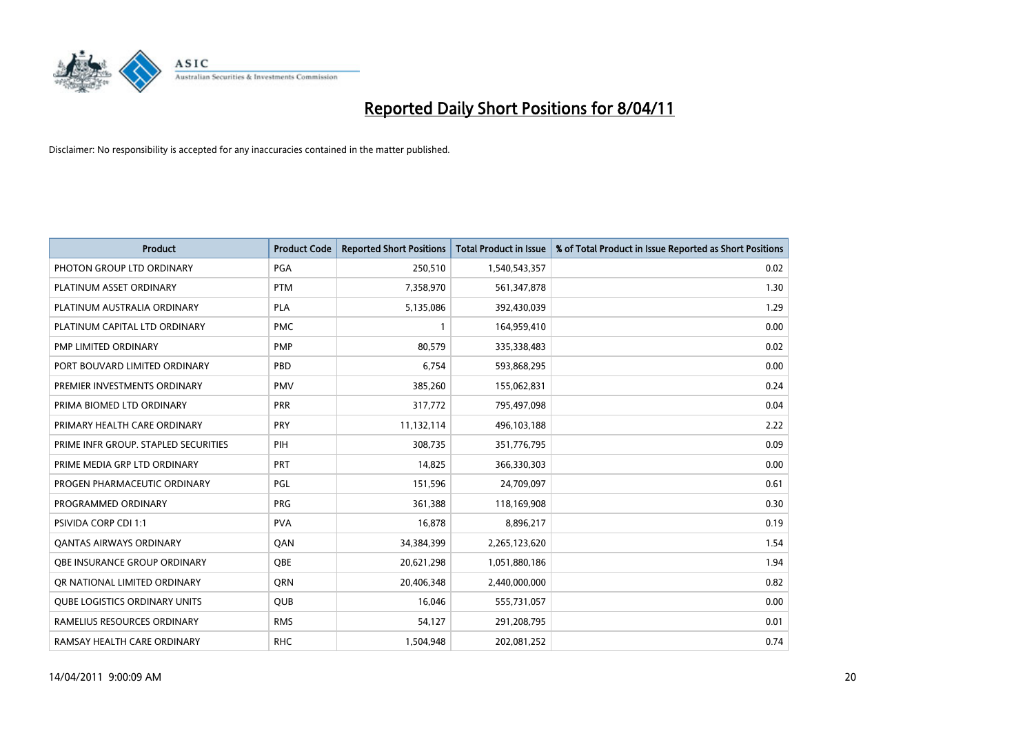

| Product                              | <b>Product Code</b> | <b>Reported Short Positions</b> | <b>Total Product in Issue</b> | % of Total Product in Issue Reported as Short Positions |
|--------------------------------------|---------------------|---------------------------------|-------------------------------|---------------------------------------------------------|
| PHOTON GROUP LTD ORDINARY            | PGA                 | 250,510                         | 1,540,543,357                 | 0.02                                                    |
| PLATINUM ASSET ORDINARY              | <b>PTM</b>          | 7,358,970                       | 561,347,878                   | 1.30                                                    |
| PLATINUM AUSTRALIA ORDINARY          | <b>PLA</b>          | 5,135,086                       | 392,430,039                   | 1.29                                                    |
| PLATINUM CAPITAL LTD ORDINARY        | <b>PMC</b>          |                                 | 164,959,410                   | 0.00                                                    |
| PMP LIMITED ORDINARY                 | <b>PMP</b>          | 80,579                          | 335,338,483                   | 0.02                                                    |
| PORT BOUVARD LIMITED ORDINARY        | PBD                 | 6,754                           | 593,868,295                   | 0.00                                                    |
| PREMIER INVESTMENTS ORDINARY         | <b>PMV</b>          | 385,260                         | 155,062,831                   | 0.24                                                    |
| PRIMA BIOMED LTD ORDINARY            | <b>PRR</b>          | 317,772                         | 795,497,098                   | 0.04                                                    |
| PRIMARY HEALTH CARE ORDINARY         | <b>PRY</b>          | 11,132,114                      | 496,103,188                   | 2.22                                                    |
| PRIME INFR GROUP. STAPLED SECURITIES | PIH                 | 308,735                         | 351,776,795                   | 0.09                                                    |
| PRIME MEDIA GRP LTD ORDINARY         | <b>PRT</b>          | 14,825                          | 366,330,303                   | 0.00                                                    |
| PROGEN PHARMACEUTIC ORDINARY         | PGL                 | 151,596                         | 24,709,097                    | 0.61                                                    |
| PROGRAMMED ORDINARY                  | <b>PRG</b>          | 361,388                         | 118,169,908                   | 0.30                                                    |
| <b>PSIVIDA CORP CDI 1:1</b>          | <b>PVA</b>          | 16,878                          | 8,896,217                     | 0.19                                                    |
| <b>QANTAS AIRWAYS ORDINARY</b>       | QAN                 | 34,384,399                      | 2,265,123,620                 | 1.54                                                    |
| OBE INSURANCE GROUP ORDINARY         | <b>OBE</b>          | 20,621,298                      | 1,051,880,186                 | 1.94                                                    |
| OR NATIONAL LIMITED ORDINARY         | <b>ORN</b>          | 20,406,348                      | 2,440,000,000                 | 0.82                                                    |
| <b>QUBE LOGISTICS ORDINARY UNITS</b> | <b>QUB</b>          | 16,046                          | 555,731,057                   | 0.00                                                    |
| RAMELIUS RESOURCES ORDINARY          | <b>RMS</b>          | 54,127                          | 291,208,795                   | 0.01                                                    |
| RAMSAY HEALTH CARE ORDINARY          | <b>RHC</b>          | 1,504,948                       | 202,081,252                   | 0.74                                                    |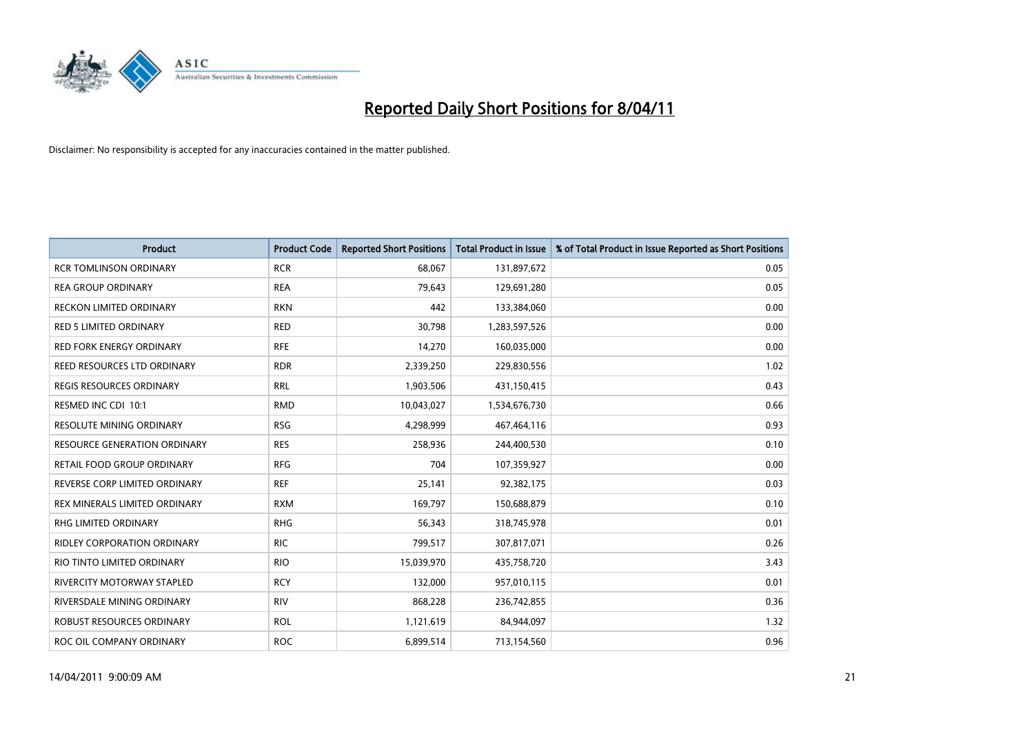

| Product                             | <b>Product Code</b> | <b>Reported Short Positions</b> | <b>Total Product in Issue</b> | % of Total Product in Issue Reported as Short Positions |
|-------------------------------------|---------------------|---------------------------------|-------------------------------|---------------------------------------------------------|
| <b>RCR TOMLINSON ORDINARY</b>       | <b>RCR</b>          | 68,067                          | 131,897,672                   | 0.05                                                    |
| <b>REA GROUP ORDINARY</b>           | <b>REA</b>          | 79,643                          | 129,691,280                   | 0.05                                                    |
| <b>RECKON LIMITED ORDINARY</b>      | <b>RKN</b>          | 442                             | 133,384,060                   | 0.00                                                    |
| <b>RED 5 LIMITED ORDINARY</b>       | <b>RED</b>          | 30,798                          | 1,283,597,526                 | 0.00                                                    |
| <b>RED FORK ENERGY ORDINARY</b>     | <b>RFE</b>          | 14,270                          | 160,035,000                   | 0.00                                                    |
| REED RESOURCES LTD ORDINARY         | <b>RDR</b>          | 2,339,250                       | 229,830,556                   | 1.02                                                    |
| REGIS RESOURCES ORDINARY            | <b>RRL</b>          | 1,903,506                       | 431,150,415                   | 0.43                                                    |
| RESMED INC CDI 10:1                 | <b>RMD</b>          | 10,043,027                      | 1,534,676,730                 | 0.66                                                    |
| RESOLUTE MINING ORDINARY            | <b>RSG</b>          | 4,298,999                       | 467,464,116                   | 0.93                                                    |
| <b>RESOURCE GENERATION ORDINARY</b> | <b>RES</b>          | 258,936                         | 244,400,530                   | 0.10                                                    |
| RETAIL FOOD GROUP ORDINARY          | <b>RFG</b>          | 704                             | 107,359,927                   | 0.00                                                    |
| REVERSE CORP LIMITED ORDINARY       | <b>REF</b>          | 25,141                          | 92,382,175                    | 0.03                                                    |
| REX MINERALS LIMITED ORDINARY       | <b>RXM</b>          | 169,797                         | 150,688,879                   | 0.10                                                    |
| <b>RHG LIMITED ORDINARY</b>         | <b>RHG</b>          | 56,343                          | 318,745,978                   | 0.01                                                    |
| <b>RIDLEY CORPORATION ORDINARY</b>  | <b>RIC</b>          | 799,517                         | 307,817,071                   | 0.26                                                    |
| RIO TINTO LIMITED ORDINARY          | <b>RIO</b>          | 15,039,970                      | 435,758,720                   | 3.43                                                    |
| <b>RIVERCITY MOTORWAY STAPLED</b>   | <b>RCY</b>          | 132,000                         | 957,010,115                   | 0.01                                                    |
| RIVERSDALE MINING ORDINARY          | <b>RIV</b>          | 868,228                         | 236,742,855                   | 0.36                                                    |
| ROBUST RESOURCES ORDINARY           | <b>ROL</b>          | 1,121,619                       | 84,944,097                    | 1.32                                                    |
| ROC OIL COMPANY ORDINARY            | <b>ROC</b>          | 6,899,514                       | 713,154,560                   | 0.96                                                    |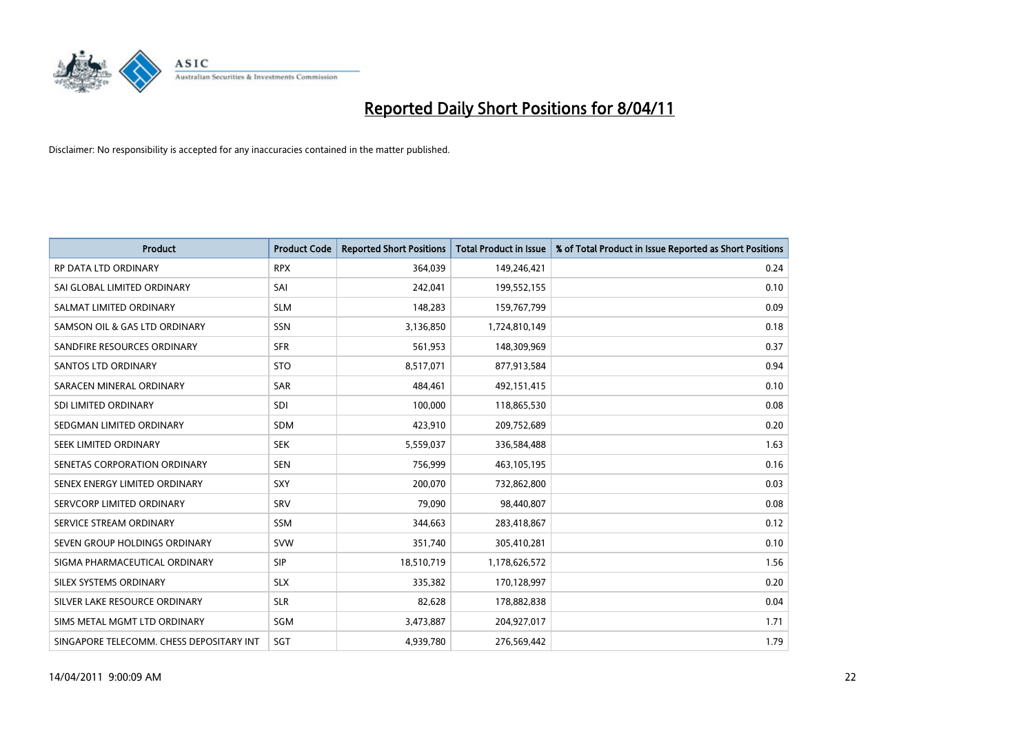

| <b>Product</b>                           | <b>Product Code</b> | <b>Reported Short Positions</b> | <b>Total Product in Issue</b> | % of Total Product in Issue Reported as Short Positions |
|------------------------------------------|---------------------|---------------------------------|-------------------------------|---------------------------------------------------------|
| RP DATA LTD ORDINARY                     | <b>RPX</b>          | 364,039                         | 149,246,421                   | 0.24                                                    |
| SAI GLOBAL LIMITED ORDINARY              | SAI                 | 242,041                         | 199,552,155                   | 0.10                                                    |
| SALMAT LIMITED ORDINARY                  | <b>SLM</b>          | 148,283                         | 159,767,799                   | 0.09                                                    |
| SAMSON OIL & GAS LTD ORDINARY            | <b>SSN</b>          | 3,136,850                       | 1,724,810,149                 | 0.18                                                    |
| SANDFIRE RESOURCES ORDINARY              | <b>SFR</b>          | 561,953                         | 148,309,969                   | 0.37                                                    |
| <b>SANTOS LTD ORDINARY</b>               | <b>STO</b>          | 8,517,071                       | 877,913,584                   | 0.94                                                    |
| SARACEN MINERAL ORDINARY                 | <b>SAR</b>          | 484,461                         | 492,151,415                   | 0.10                                                    |
| SDI LIMITED ORDINARY                     | <b>SDI</b>          | 100,000                         | 118,865,530                   | 0.08                                                    |
| SEDGMAN LIMITED ORDINARY                 | <b>SDM</b>          | 423,910                         | 209,752,689                   | 0.20                                                    |
| SEEK LIMITED ORDINARY                    | <b>SEK</b>          | 5,559,037                       | 336,584,488                   | 1.63                                                    |
| SENETAS CORPORATION ORDINARY             | <b>SEN</b>          | 756,999                         | 463,105,195                   | 0.16                                                    |
| SENEX ENERGY LIMITED ORDINARY            | <b>SXY</b>          | 200,070                         | 732,862,800                   | 0.03                                                    |
| SERVCORP LIMITED ORDINARY                | SRV                 | 79,090                          | 98,440,807                    | 0.08                                                    |
| SERVICE STREAM ORDINARY                  | <b>SSM</b>          | 344,663                         | 283,418,867                   | 0.12                                                    |
| SEVEN GROUP HOLDINGS ORDINARY            | <b>SVW</b>          | 351,740                         | 305,410,281                   | 0.10                                                    |
| SIGMA PHARMACEUTICAL ORDINARY            | <b>SIP</b>          | 18,510,719                      | 1,178,626,572                 | 1.56                                                    |
| SILEX SYSTEMS ORDINARY                   | <b>SLX</b>          | 335,382                         | 170,128,997                   | 0.20                                                    |
| SILVER LAKE RESOURCE ORDINARY            | <b>SLR</b>          | 82,628                          | 178,882,838                   | 0.04                                                    |
| SIMS METAL MGMT LTD ORDINARY             | SGM                 | 3,473,887                       | 204,927,017                   | 1.71                                                    |
| SINGAPORE TELECOMM. CHESS DEPOSITARY INT | SGT                 | 4.939.780                       | 276,569,442                   | 1.79                                                    |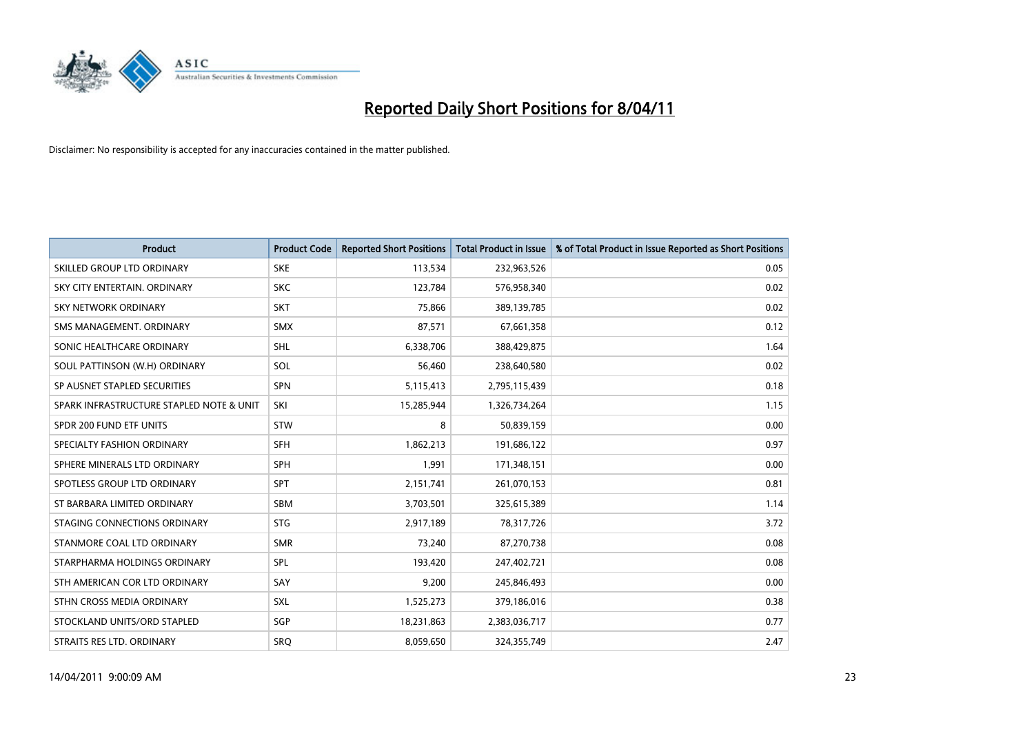

| <b>Product</b>                           | <b>Product Code</b> | <b>Reported Short Positions</b> | Total Product in Issue | % of Total Product in Issue Reported as Short Positions |
|------------------------------------------|---------------------|---------------------------------|------------------------|---------------------------------------------------------|
| SKILLED GROUP LTD ORDINARY               | <b>SKE</b>          | 113,534                         | 232,963,526            | 0.05                                                    |
| SKY CITY ENTERTAIN. ORDINARY             | <b>SKC</b>          | 123,784                         | 576,958,340            | 0.02                                                    |
| <b>SKY NETWORK ORDINARY</b>              | <b>SKT</b>          | 75,866                          | 389,139,785            | 0.02                                                    |
| SMS MANAGEMENT. ORDINARY                 | <b>SMX</b>          | 87,571                          | 67,661,358             | 0.12                                                    |
| SONIC HEALTHCARE ORDINARY                | <b>SHL</b>          | 6,338,706                       | 388,429,875            | 1.64                                                    |
| SOUL PATTINSON (W.H) ORDINARY            | SOL                 | 56.460                          | 238,640,580            | 0.02                                                    |
| SP AUSNET STAPLED SECURITIES             | <b>SPN</b>          | 5,115,413                       | 2,795,115,439          | 0.18                                                    |
| SPARK INFRASTRUCTURE STAPLED NOTE & UNIT | SKI                 | 15,285,944                      | 1,326,734,264          | 1.15                                                    |
| SPDR 200 FUND ETF UNITS                  | <b>STW</b>          | 8                               | 50,839,159             | 0.00                                                    |
| SPECIALTY FASHION ORDINARY               | <b>SFH</b>          | 1,862,213                       | 191,686,122            | 0.97                                                    |
| SPHERE MINERALS LTD ORDINARY             | <b>SPH</b>          | 1,991                           | 171,348,151            | 0.00                                                    |
| SPOTLESS GROUP LTD ORDINARY              | <b>SPT</b>          | 2,151,741                       | 261,070,153            | 0.81                                                    |
| ST BARBARA LIMITED ORDINARY              | <b>SBM</b>          | 3,703,501                       | 325,615,389            | 1.14                                                    |
| STAGING CONNECTIONS ORDINARY             | <b>STG</b>          | 2,917,189                       | 78,317,726             | 3.72                                                    |
| STANMORE COAL LTD ORDINARY               | <b>SMR</b>          | 73,240                          | 87,270,738             | 0.08                                                    |
| STARPHARMA HOLDINGS ORDINARY             | SPL                 | 193,420                         | 247,402,721            | 0.08                                                    |
| STH AMERICAN COR LTD ORDINARY            | SAY                 | 9,200                           | 245,846,493            | 0.00                                                    |
| STHN CROSS MEDIA ORDINARY                | SXL                 | 1,525,273                       | 379,186,016            | 0.38                                                    |
| STOCKLAND UNITS/ORD STAPLED              | <b>SGP</b>          | 18,231,863                      | 2,383,036,717          | 0.77                                                    |
| STRAITS RES LTD. ORDINARY                | SRO                 | 8,059,650                       | 324,355,749            | 2.47                                                    |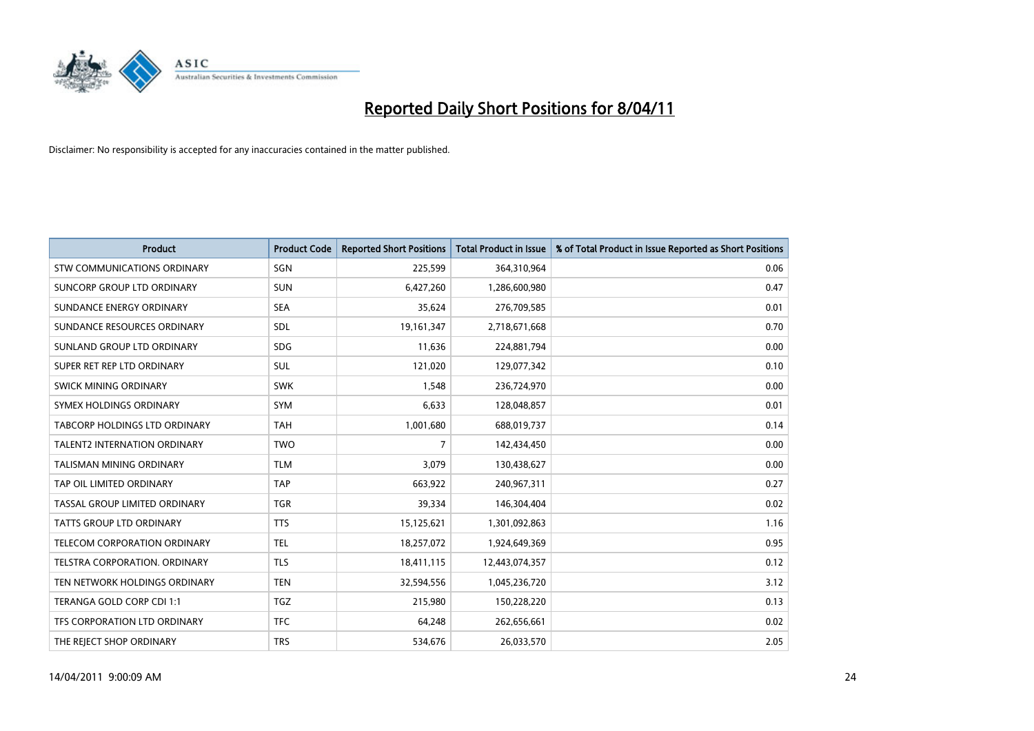

| <b>Product</b>                       | <b>Product Code</b> | <b>Reported Short Positions</b> | Total Product in Issue | % of Total Product in Issue Reported as Short Positions |
|--------------------------------------|---------------------|---------------------------------|------------------------|---------------------------------------------------------|
| <b>STW COMMUNICATIONS ORDINARY</b>   | SGN                 | 225,599                         | 364,310,964            | 0.06                                                    |
| SUNCORP GROUP LTD ORDINARY           | <b>SUN</b>          | 6,427,260                       | 1,286,600,980          | 0.47                                                    |
| SUNDANCE ENERGY ORDINARY             | <b>SEA</b>          | 35,624                          | 276,709,585            | 0.01                                                    |
| SUNDANCE RESOURCES ORDINARY          | SDL                 | 19,161,347                      | 2,718,671,668          | 0.70                                                    |
| SUNLAND GROUP LTD ORDINARY           | <b>SDG</b>          | 11,636                          | 224,881,794            | 0.00                                                    |
| SUPER RET REP LTD ORDINARY           | SUL                 | 121,020                         | 129,077,342            | 0.10                                                    |
| SWICK MINING ORDINARY                | <b>SWK</b>          | 1,548                           | 236,724,970            | 0.00                                                    |
| SYMEX HOLDINGS ORDINARY              | <b>SYM</b>          | 6,633                           | 128,048,857            | 0.01                                                    |
| TABCORP HOLDINGS LTD ORDINARY        | <b>TAH</b>          | 1,001,680                       | 688,019,737            | 0.14                                                    |
| <b>TALENT2 INTERNATION ORDINARY</b>  | <b>TWO</b>          | 7                               | 142,434,450            | 0.00                                                    |
| TALISMAN MINING ORDINARY             | <b>TLM</b>          | 3,079                           | 130,438,627            | 0.00                                                    |
| TAP OIL LIMITED ORDINARY             | <b>TAP</b>          | 663,922                         | 240,967,311            | 0.27                                                    |
| <b>TASSAL GROUP LIMITED ORDINARY</b> | <b>TGR</b>          | 39,334                          | 146,304,404            | 0.02                                                    |
| <b>TATTS GROUP LTD ORDINARY</b>      | <b>TTS</b>          | 15,125,621                      | 1,301,092,863          | 1.16                                                    |
| TELECOM CORPORATION ORDINARY         | <b>TEL</b>          | 18,257,072                      | 1,924,649,369          | 0.95                                                    |
| TELSTRA CORPORATION, ORDINARY        | <b>TLS</b>          | 18,411,115                      | 12,443,074,357         | 0.12                                                    |
| TEN NETWORK HOLDINGS ORDINARY        | <b>TEN</b>          | 32,594,556                      | 1,045,236,720          | 3.12                                                    |
| TERANGA GOLD CORP CDI 1:1            | <b>TGZ</b>          | 215,980                         | 150,228,220            | 0.13                                                    |
| TFS CORPORATION LTD ORDINARY         | <b>TFC</b>          | 64,248                          | 262,656,661            | 0.02                                                    |
| THE REJECT SHOP ORDINARY             | <b>TRS</b>          | 534,676                         | 26,033,570             | 2.05                                                    |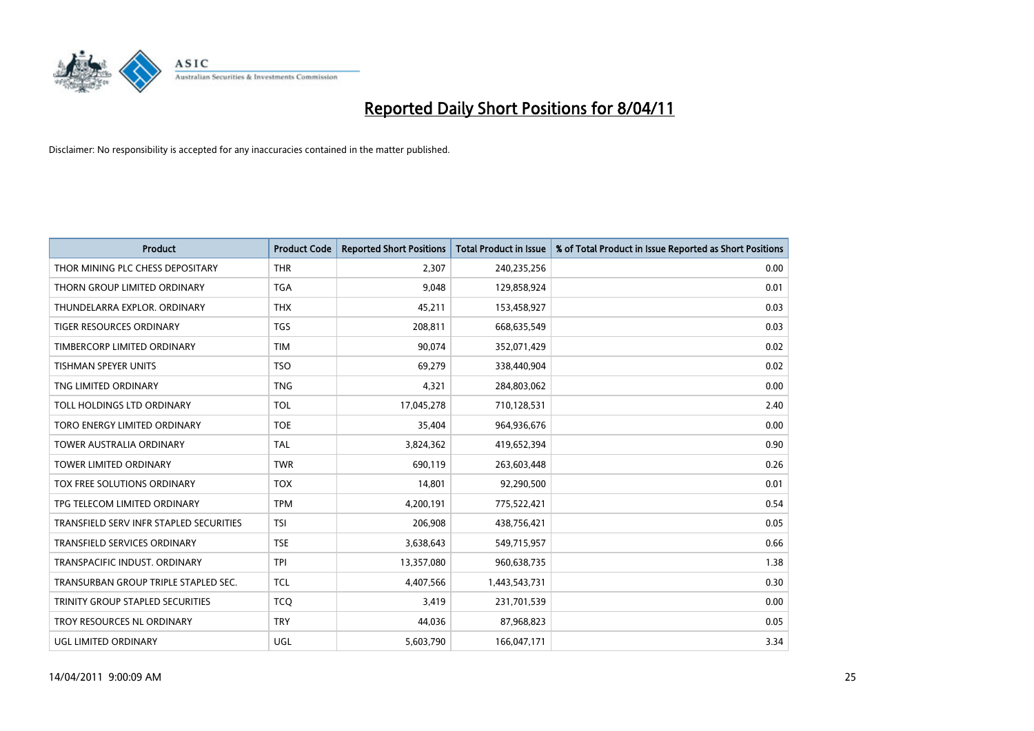

| <b>Product</b>                          | <b>Product Code</b> | <b>Reported Short Positions</b> | <b>Total Product in Issue</b> | % of Total Product in Issue Reported as Short Positions |
|-----------------------------------------|---------------------|---------------------------------|-------------------------------|---------------------------------------------------------|
| THOR MINING PLC CHESS DEPOSITARY        | <b>THR</b>          | 2,307                           | 240,235,256                   | 0.00                                                    |
| THORN GROUP LIMITED ORDINARY            | <b>TGA</b>          | 9,048                           | 129,858,924                   | 0.01                                                    |
| THUNDELARRA EXPLOR, ORDINARY            | <b>THX</b>          | 45,211                          | 153,458,927                   | 0.03                                                    |
| <b>TIGER RESOURCES ORDINARY</b>         | <b>TGS</b>          | 208,811                         | 668,635,549                   | 0.03                                                    |
| TIMBERCORP LIMITED ORDINARY             | <b>TIM</b>          | 90,074                          | 352,071,429                   | 0.02                                                    |
| <b>TISHMAN SPEYER UNITS</b>             | <b>TSO</b>          | 69,279                          | 338,440,904                   | 0.02                                                    |
| TNG LIMITED ORDINARY                    | <b>TNG</b>          | 4,321                           | 284,803,062                   | 0.00                                                    |
| TOLL HOLDINGS LTD ORDINARY              | <b>TOL</b>          | 17,045,278                      | 710,128,531                   | 2.40                                                    |
| TORO ENERGY LIMITED ORDINARY            | <b>TOE</b>          | 35,404                          | 964,936,676                   | 0.00                                                    |
| <b>TOWER AUSTRALIA ORDINARY</b>         | <b>TAL</b>          | 3,824,362                       | 419,652,394                   | 0.90                                                    |
| TOWER LIMITED ORDINARY                  | <b>TWR</b>          | 690,119                         | 263,603,448                   | 0.26                                                    |
| <b>TOX FREE SOLUTIONS ORDINARY</b>      | <b>TOX</b>          | 14,801                          | 92,290,500                    | 0.01                                                    |
| TPG TELECOM LIMITED ORDINARY            | <b>TPM</b>          | 4,200,191                       | 775,522,421                   | 0.54                                                    |
| TRANSFIELD SERV INFR STAPLED SECURITIES | <b>TSI</b>          | 206,908                         | 438,756,421                   | 0.05                                                    |
| <b>TRANSFIELD SERVICES ORDINARY</b>     | <b>TSE</b>          | 3,638,643                       | 549,715,957                   | 0.66                                                    |
| TRANSPACIFIC INDUST. ORDINARY           | <b>TPI</b>          | 13,357,080                      | 960,638,735                   | 1.38                                                    |
| TRANSURBAN GROUP TRIPLE STAPLED SEC.    | <b>TCL</b>          | 4,407,566                       | 1,443,543,731                 | 0.30                                                    |
| TRINITY GROUP STAPLED SECURITIES        | <b>TCO</b>          | 3,419                           | 231,701,539                   | 0.00                                                    |
| TROY RESOURCES NL ORDINARY              | <b>TRY</b>          | 44,036                          | 87,968,823                    | 0.05                                                    |
| UGL LIMITED ORDINARY                    | <b>UGL</b>          | 5,603,790                       | 166,047,171                   | 3.34                                                    |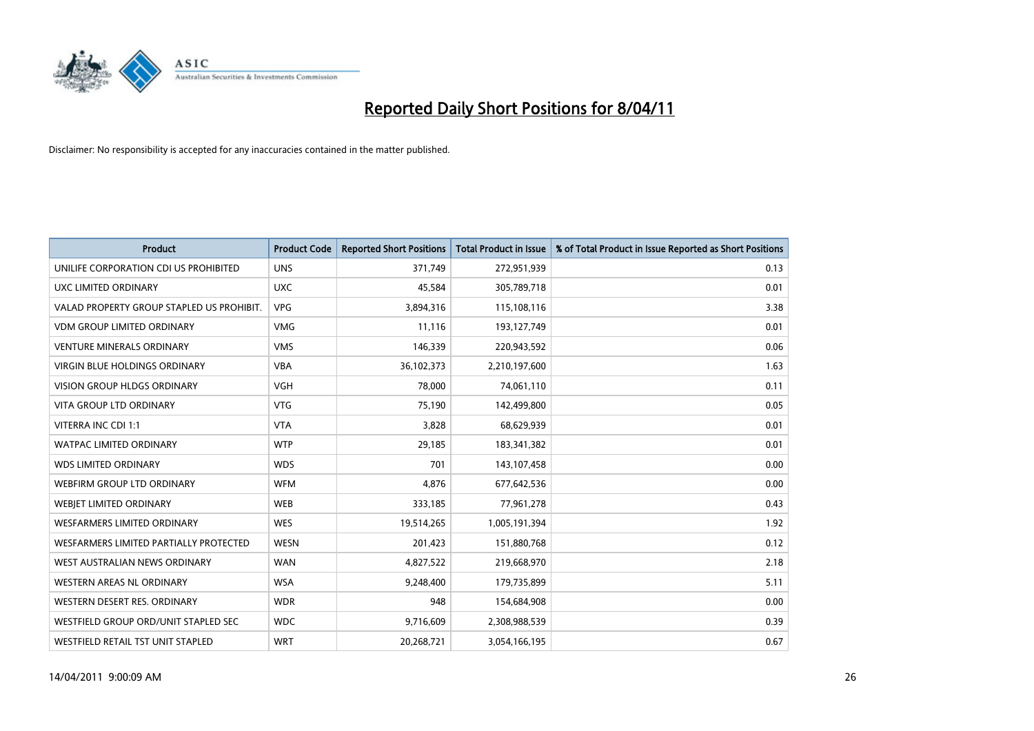

| Product                                   | <b>Product Code</b> | <b>Reported Short Positions</b> | <b>Total Product in Issue</b> | % of Total Product in Issue Reported as Short Positions |
|-------------------------------------------|---------------------|---------------------------------|-------------------------------|---------------------------------------------------------|
| UNILIFE CORPORATION CDI US PROHIBITED     | <b>UNS</b>          | 371,749                         | 272,951,939                   | 0.13                                                    |
| UXC LIMITED ORDINARY                      | <b>UXC</b>          | 45,584                          | 305,789,718                   | 0.01                                                    |
| VALAD PROPERTY GROUP STAPLED US PROHIBIT. | <b>VPG</b>          | 3,894,316                       | 115,108,116                   | 3.38                                                    |
| <b>VDM GROUP LIMITED ORDINARY</b>         | <b>VMG</b>          | 11,116                          | 193,127,749                   | 0.01                                                    |
| <b>VENTURE MINERALS ORDINARY</b>          | <b>VMS</b>          | 146,339                         | 220,943,592                   | 0.06                                                    |
| <b>VIRGIN BLUE HOLDINGS ORDINARY</b>      | <b>VBA</b>          | 36,102,373                      | 2,210,197,600                 | 1.63                                                    |
| <b>VISION GROUP HLDGS ORDINARY</b>        | <b>VGH</b>          | 78.000                          | 74,061,110                    | 0.11                                                    |
| <b>VITA GROUP LTD ORDINARY</b>            | <b>VTG</b>          | 75,190                          | 142,499,800                   | 0.05                                                    |
| VITERRA INC CDI 1:1                       | <b>VTA</b>          | 3,828                           | 68,629,939                    | 0.01                                                    |
| <b>WATPAC LIMITED ORDINARY</b>            | <b>WTP</b>          | 29,185                          | 183,341,382                   | 0.01                                                    |
| <b>WDS LIMITED ORDINARY</b>               | <b>WDS</b>          | 701                             | 143,107,458                   | 0.00                                                    |
| WEBFIRM GROUP LTD ORDINARY                | <b>WFM</b>          | 4,876                           | 677,642,536                   | 0.00                                                    |
| WEBIET LIMITED ORDINARY                   | <b>WEB</b>          | 333,185                         | 77,961,278                    | 0.43                                                    |
| <b>WESFARMERS LIMITED ORDINARY</b>        | <b>WES</b>          | 19,514,265                      | 1,005,191,394                 | 1.92                                                    |
| WESFARMERS LIMITED PARTIALLY PROTECTED    | <b>WESN</b>         | 201,423                         | 151,880,768                   | 0.12                                                    |
| WEST AUSTRALIAN NEWS ORDINARY             | <b>WAN</b>          | 4,827,522                       | 219,668,970                   | 2.18                                                    |
| WESTERN AREAS NL ORDINARY                 | <b>WSA</b>          | 9,248,400                       | 179,735,899                   | 5.11                                                    |
| WESTERN DESERT RES. ORDINARY              | <b>WDR</b>          | 948                             | 154,684,908                   | 0.00                                                    |
| WESTFIELD GROUP ORD/UNIT STAPLED SEC      | <b>WDC</b>          | 9,716,609                       | 2,308,988,539                 | 0.39                                                    |
| WESTFIELD RETAIL TST UNIT STAPLED         | <b>WRT</b>          | 20.268.721                      | 3,054,166,195                 | 0.67                                                    |